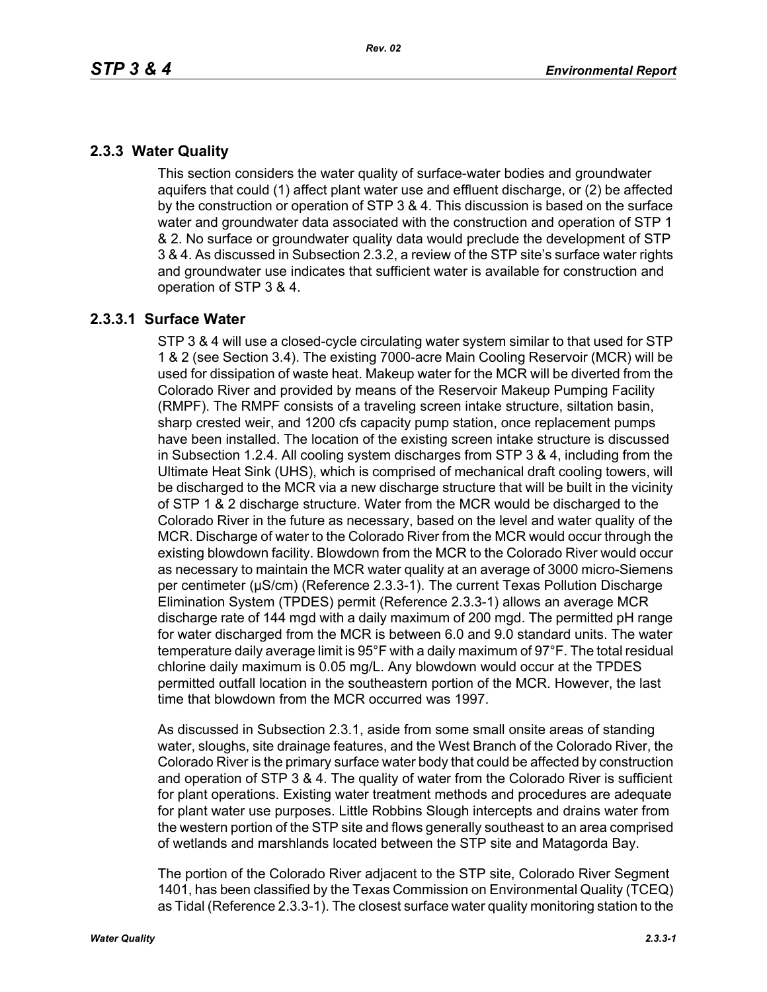# **2.3.3 Water Quality**

This section considers the water quality of surface-water bodies and groundwater aquifers that could (1) affect plant water use and effluent discharge, or (2) be affected by the construction or operation of STP 3 & 4. This discussion is based on the surface water and groundwater data associated with the construction and operation of STP 1 & 2. No surface or groundwater quality data would preclude the development of STP 3 & 4. As discussed in Subsection 2.3.2, a review of the STP site's surface water rights and groundwater use indicates that sufficient water is available for construction and operation of STP 3 & 4.

## **2.3.3.1 Surface Water**

STP 3 & 4 will use a closed-cycle circulating water system similar to that used for STP 1 & 2 (see Section 3.4). The existing 7000-acre Main Cooling Reservoir (MCR) will be used for dissipation of waste heat. Makeup water for the MCR will be diverted from the Colorado River and provided by means of the Reservoir Makeup Pumping Facility (RMPF). The RMPF consists of a traveling screen intake structure, siltation basin, sharp crested weir, and 1200 cfs capacity pump station, once replacement pumps have been installed. The location of the existing screen intake structure is discussed in Subsection 1.2.4. All cooling system discharges from STP 3 & 4, including from the Ultimate Heat Sink (UHS), which is comprised of mechanical draft cooling towers, will be discharged to the MCR via a new discharge structure that will be built in the vicinity of STP 1 & 2 discharge structure. Water from the MCR would be discharged to the Colorado River in the future as necessary, based on the level and water quality of the MCR. Discharge of water to the Colorado River from the MCR would occur through the existing blowdown facility. Blowdown from the MCR to the Colorado River would occur as necessary to maintain the MCR water quality at an average of 3000 micro-Siemens per centimeter (µS/cm) (Reference 2.3.3-1). The current Texas Pollution Discharge Elimination System (TPDES) permit (Reference 2.3.3-1) allows an average MCR discharge rate of 144 mgd with a daily maximum of 200 mgd. The permitted pH range for water discharged from the MCR is between 6.0 and 9.0 standard units. The water temperature daily average limit is 95°F with a daily maximum of 97°F. The total residual chlorine daily maximum is 0.05 mg/L. Any blowdown would occur at the TPDES permitted outfall location in the southeastern portion of the MCR. However, the last time that blowdown from the MCR occurred was 1997.

As discussed in Subsection 2.3.1, aside from some small onsite areas of standing water, sloughs, site drainage features, and the West Branch of the Colorado River, the Colorado River is the primary surface water body that could be affected by construction and operation of STP 3 & 4. The quality of water from the Colorado River is sufficient for plant operations. Existing water treatment methods and procedures are adequate for plant water use purposes. Little Robbins Slough intercepts and drains water from the western portion of the STP site and flows generally southeast to an area comprised of wetlands and marshlands located between the STP site and Matagorda Bay.

The portion of the Colorado River adjacent to the STP site, Colorado River Segment 1401, has been classified by the Texas Commission on Environmental Quality (TCEQ) as Tidal (Reference 2.3.3-1). The closest surface water quality monitoring station to the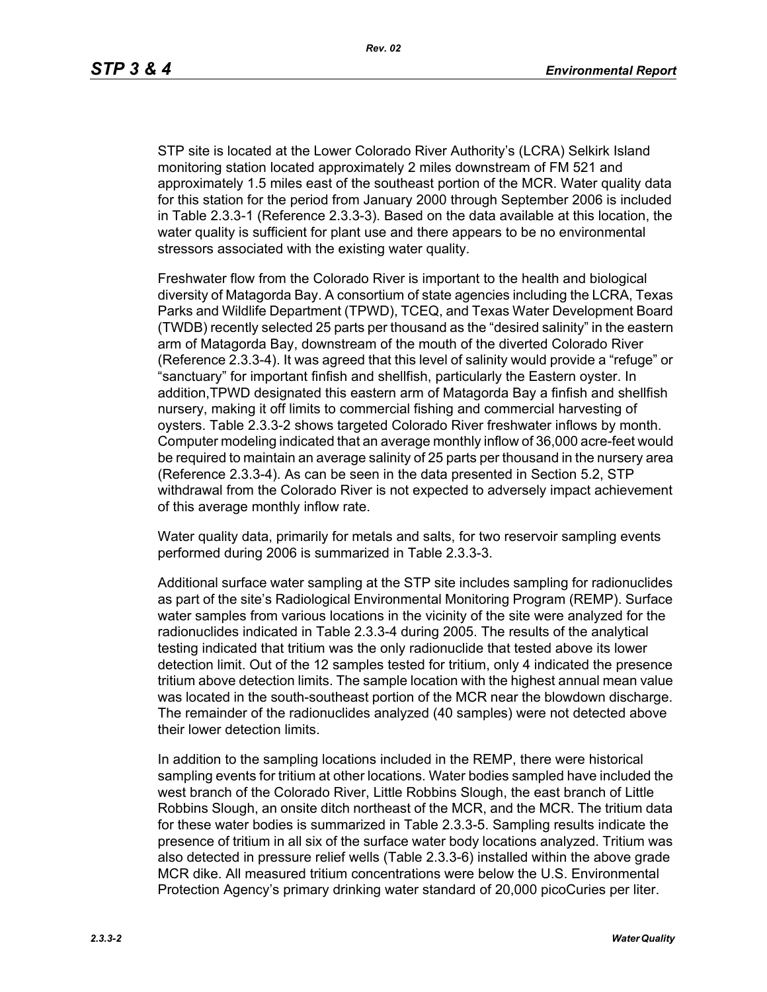STP site is located at the Lower Colorado River Authority's (LCRA) Selkirk Island monitoring station located approximately 2 miles downstream of FM 521 and approximately 1.5 miles east of the southeast portion of the MCR. Water quality data for this station for the period from January 2000 through September 2006 is included in Table 2.3.3-1 (Reference 2.3.3-3). Based on the data available at this location, the water quality is sufficient for plant use and there appears to be no environmental stressors associated with the existing water quality.

Freshwater flow from the Colorado River is important to the health and biological diversity of Matagorda Bay. A consortium of state agencies including the LCRA, Texas Parks and Wildlife Department (TPWD), TCEQ, and Texas Water Development Board (TWDB) recently selected 25 parts per thousand as the "desired salinity" in the eastern arm of Matagorda Bay, downstream of the mouth of the diverted Colorado River (Reference 2.3.3-4). It was agreed that this level of salinity would provide a "refuge" or "sanctuary" for important finfish and shellfish, particularly the Eastern oyster. In addition,TPWD designated this eastern arm of Matagorda Bay a finfish and shellfish nursery, making it off limits to commercial fishing and commercial harvesting of oysters. Table 2.3.3-2 shows targeted Colorado River freshwater inflows by month. Computer modeling indicated that an average monthly inflow of 36,000 acre-feet would be required to maintain an average salinity of 25 parts per thousand in the nursery area (Reference 2.3.3-4). As can be seen in the data presented in Section 5.2, STP withdrawal from the Colorado River is not expected to adversely impact achievement of this average monthly inflow rate.

Water quality data, primarily for metals and salts, for two reservoir sampling events performed during 2006 is summarized in Table 2.3.3-3.

Additional surface water sampling at the STP site includes sampling for radionuclides as part of the site's Radiological Environmental Monitoring Program (REMP). Surface water samples from various locations in the vicinity of the site were analyzed for the radionuclides indicated in Table 2.3.3-4 during 2005. The results of the analytical testing indicated that tritium was the only radionuclide that tested above its lower detection limit. Out of the 12 samples tested for tritium, only 4 indicated the presence tritium above detection limits. The sample location with the highest annual mean value was located in the south-southeast portion of the MCR near the blowdown discharge. The remainder of the radionuclides analyzed (40 samples) were not detected above their lower detection limits.

In addition to the sampling locations included in the REMP, there were historical sampling events for tritium at other locations. Water bodies sampled have included the west branch of the Colorado River, Little Robbins Slough, the east branch of Little Robbins Slough, an onsite ditch northeast of the MCR, and the MCR. The tritium data for these water bodies is summarized in Table 2.3.3-5. Sampling results indicate the presence of tritium in all six of the surface water body locations analyzed. Tritium was also detected in pressure relief wells (Table 2.3.3-6) installed within the above grade MCR dike. All measured tritium concentrations were below the U.S. Environmental Protection Agency's primary drinking water standard of 20,000 picoCuries per liter.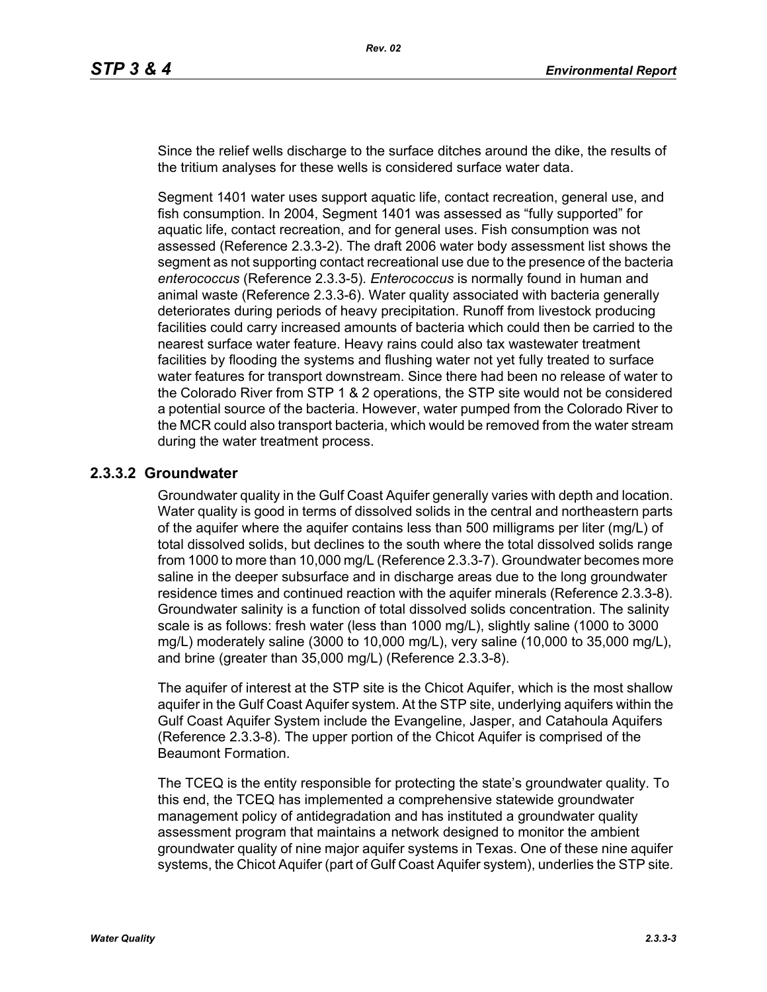Since the relief wells discharge to the surface ditches around the dike, the results of the tritium analyses for these wells is considered surface water data.

Segment 1401 water uses support aquatic life, contact recreation, general use, and fish consumption. In 2004, Segment 1401 was assessed as "fully supported" for aquatic life, contact recreation, and for general uses. Fish consumption was not assessed (Reference 2.3.3-2). The draft 2006 water body assessment list shows the segment as not supporting contact recreational use due to the presence of the bacteria *enterococcus* (Reference 2.3.3-5). *Enterococcus* is normally found in human and animal waste (Reference 2.3.3-6). Water quality associated with bacteria generally deteriorates during periods of heavy precipitation. Runoff from livestock producing facilities could carry increased amounts of bacteria which could then be carried to the nearest surface water feature. Heavy rains could also tax wastewater treatment facilities by flooding the systems and flushing water not yet fully treated to surface water features for transport downstream. Since there had been no release of water to the Colorado River from STP 1 & 2 operations, the STP site would not be considered a potential source of the bacteria. However, water pumped from the Colorado River to the MCR could also transport bacteria, which would be removed from the water stream during the water treatment process.

## **2.3.3.2 Groundwater**

Groundwater quality in the Gulf Coast Aquifer generally varies with depth and location. Water quality is good in terms of dissolved solids in the central and northeastern parts of the aquifer where the aquifer contains less than 500 milligrams per liter (mg/L) of total dissolved solids, but declines to the south where the total dissolved solids range from 1000 to more than 10,000 mg/L (Reference 2.3.3-7). Groundwater becomes more saline in the deeper subsurface and in discharge areas due to the long groundwater residence times and continued reaction with the aquifer minerals (Reference 2.3.3-8). Groundwater salinity is a function of total dissolved solids concentration. The salinity scale is as follows: fresh water (less than 1000 mg/L), slightly saline (1000 to 3000 mg/L) moderately saline (3000 to 10,000 mg/L), very saline (10,000 to 35,000 mg/L), and brine (greater than 35,000 mg/L) (Reference 2.3.3-8).

The aquifer of interest at the STP site is the Chicot Aquifer, which is the most shallow aquifer in the Gulf Coast Aquifer system. At the STP site, underlying aquifers within the Gulf Coast Aquifer System include the Evangeline, Jasper, and Catahoula Aquifers (Reference 2.3.3-8). The upper portion of the Chicot Aquifer is comprised of the Beaumont Formation.

The TCEQ is the entity responsible for protecting the state's groundwater quality. To this end, the TCEQ has implemented a comprehensive statewide groundwater management policy of antidegradation and has instituted a groundwater quality assessment program that maintains a network designed to monitor the ambient groundwater quality of nine major aquifer systems in Texas. One of these nine aquifer systems, the Chicot Aquifer (part of Gulf Coast Aquifer system), underlies the STP site.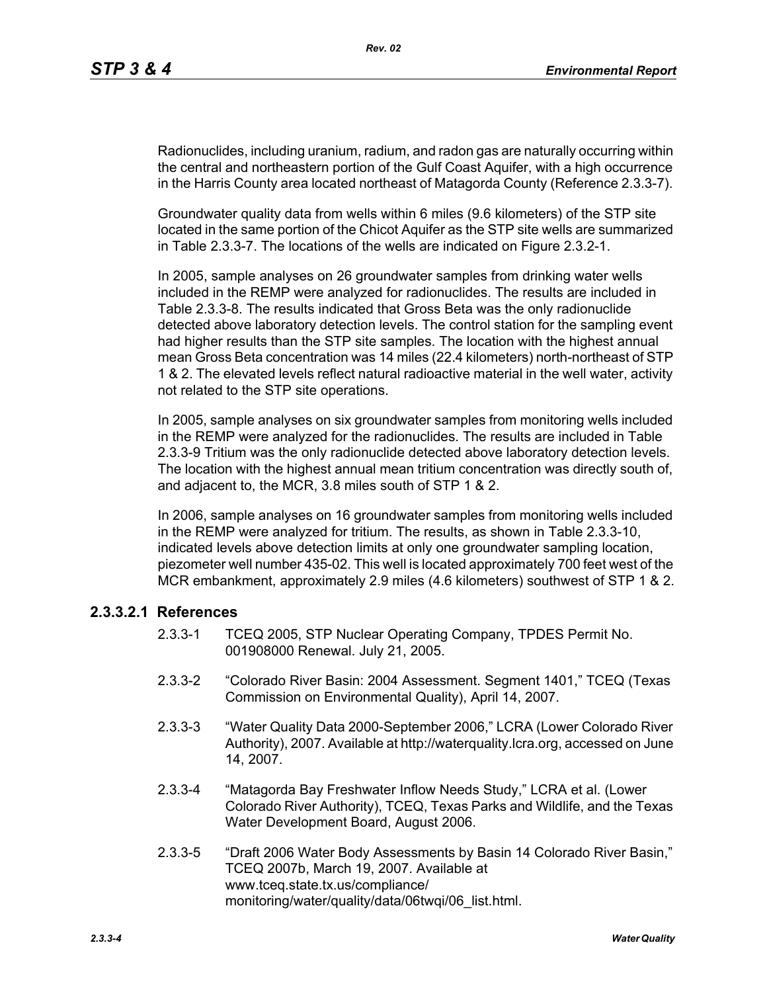Radionuclides, including uranium, radium, and radon gas are naturally occurring within the central and northeastern portion of the Gulf Coast Aquifer, with a high occurrence in the Harris County area located northeast of Matagorda County (Reference 2.3.3-7).

Groundwater quality data from wells within 6 miles (9.6 kilometers) of the STP site located in the same portion of the Chicot Aquifer as the STP site wells are summarized in Table 2.3.3-7. The locations of the wells are indicated on Figure 2.3.2-1.

In 2005, sample analyses on 26 groundwater samples from drinking water wells included in the REMP were analyzed for radionuclides. The results are included in Table 2.3.3-8. The results indicated that Gross Beta was the only radionuclide detected above laboratory detection levels. The control station for the sampling event had higher results than the STP site samples. The location with the highest annual mean Gross Beta concentration was 14 miles (22.4 kilometers) north-northeast of STP 1 & 2. The elevated levels reflect natural radioactive material in the well water, activity not related to the STP site operations.

In 2005, sample analyses on six groundwater samples from monitoring wells included in the REMP were analyzed for the radionuclides. The results are included in Table 2.3.3-9 Tritium was the only radionuclide detected above laboratory detection levels. The location with the highest annual mean tritium concentration was directly south of, and adjacent to, the MCR, 3.8 miles south of STP 1 & 2.

In 2006, sample analyses on 16 groundwater samples from monitoring wells included in the REMP were analyzed for tritium. The results, as shown in Table 2.3.3-10, indicated levels above detection limits at only one groundwater sampling location, piezometer well number 435-02. This well is located approximately 700 feet west of the MCR embankment, approximately 2.9 miles (4.6 kilometers) southwest of STP 1 & 2.

## **2.3.3.2.1 References**

- 2.3.3-1 TCEQ 2005, STP Nuclear Operating Company, TPDES Permit No. 001908000 Renewal. July 21, 2005.
- 2.3.3-2 "Colorado River Basin: 2004 Assessment. Segment 1401," TCEQ (Texas Commission on Environmental Quality), April 14, 2007.
- 2.3.3-3 "Water Quality Data 2000-September 2006," LCRA (Lower Colorado River Authority), 2007. Available at http://waterquality.lcra.org, accessed on June 14, 2007.
- 2.3.3-4 "Matagorda Bay Freshwater Inflow Needs Study," LCRA et al. (Lower Colorado River Authority), TCEQ, Texas Parks and Wildlife, and the Texas Water Development Board, August 2006.
- 2.3.3-5 "Draft 2006 Water Body Assessments by Basin 14 Colorado River Basin," TCEQ 2007b, March 19, 2007. Available at www.tceq.state.tx.us/compliance/ monitoring/water/quality/data/06twqi/06\_list.html.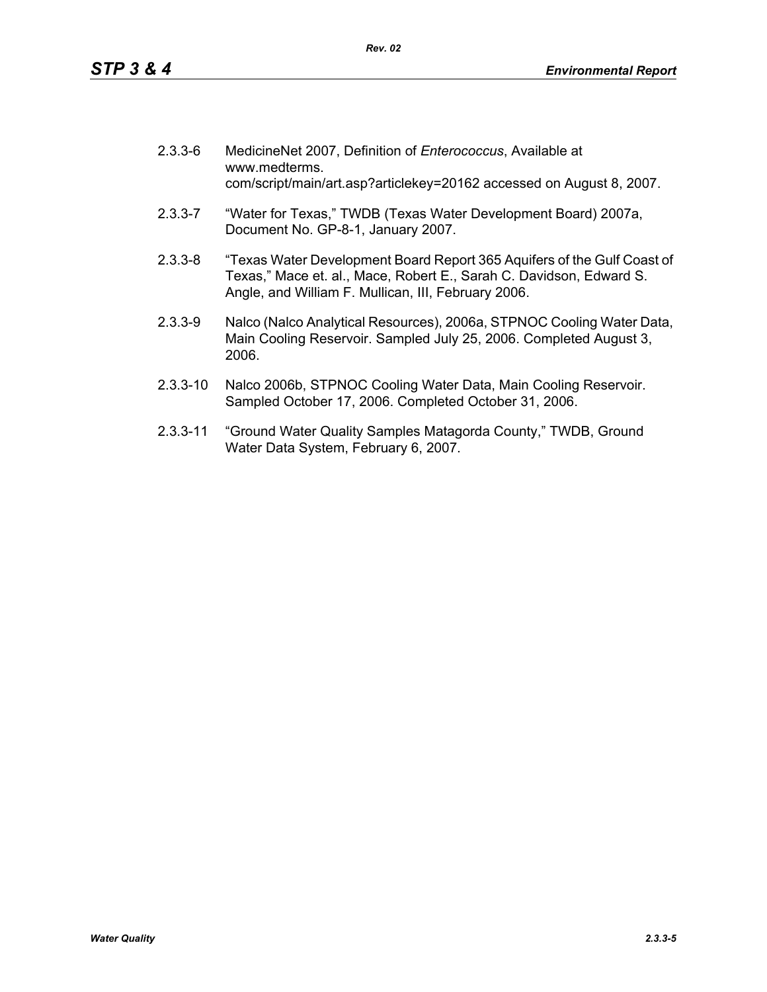| $2.3.3 - 6$ | MedicineNet 2007, Definition of Enterococcus, Available at<br>www.medterms.<br>com/script/main/art.asp?articlekey=20162 accessed on August 8, 2007.                                                   |
|-------------|-------------------------------------------------------------------------------------------------------------------------------------------------------------------------------------------------------|
| $2.3.3 - 7$ | "Water for Texas," TWDB (Texas Water Development Board) 2007a,<br>Document No. GP-8-1, January 2007.                                                                                                  |
| $2.3.3 - 8$ | "Texas Water Development Board Report 365 Aquifers of the Gulf Coast of<br>Texas," Mace et. al., Mace, Robert E., Sarah C. Davidson, Edward S.<br>Angle, and William F. Mullican, III, February 2006. |
|             | Material (Material Arrat December 1, 0000 - OTDMOO Opelis - Material Deter                                                                                                                            |

- 2.3.3-9 Nalco (Nalco Analytical Resources), 2006a, STPNOC Cooling Water Data, Main Cooling Reservoir. Sampled July 25, 2006. Completed August 3, 2006.
- 2.3.3-10 Nalco 2006b, STPNOC Cooling Water Data, Main Cooling Reservoir. Sampled October 17, 2006. Completed October 31, 2006.
- 2.3.3-11 "Ground Water Quality Samples Matagorda County," TWDB, Ground Water Data System, February 6, 2007.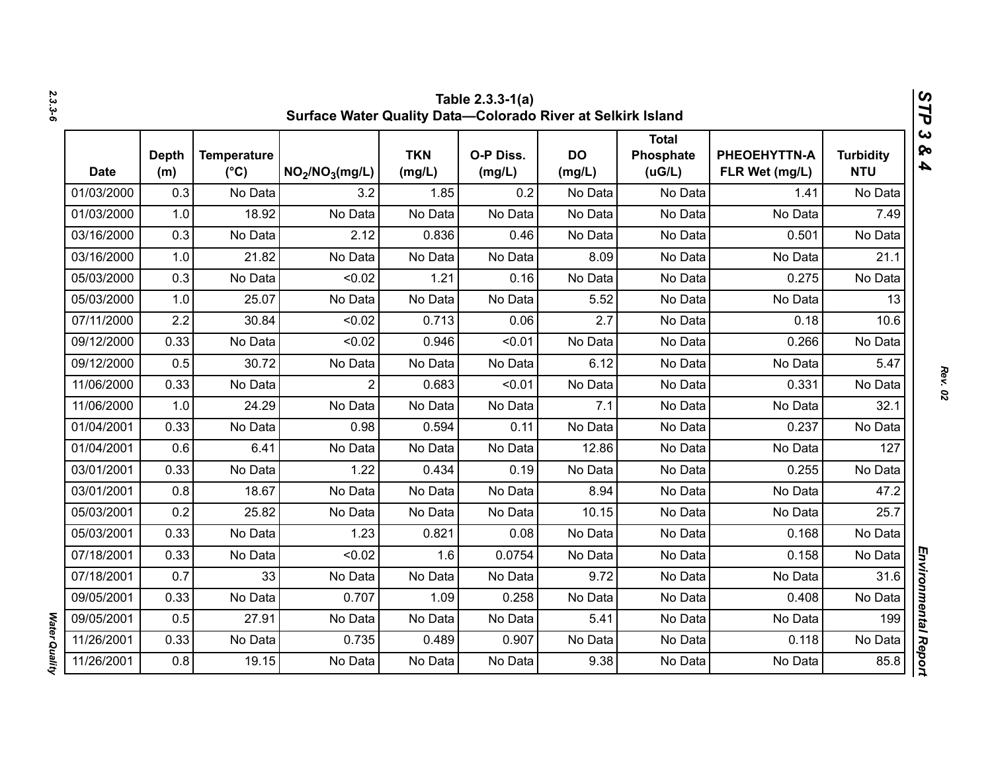|             | Table 2.3.3-1(a)<br>V,<br>Surface Water Quality Data-Colorado River at Selkirk Island<br>٦ |                                     |                                         |                      |                     |                     |                                     |                                |                                |  |
|-------------|--------------------------------------------------------------------------------------------|-------------------------------------|-----------------------------------------|----------------------|---------------------|---------------------|-------------------------------------|--------------------------------|--------------------------------|--|
| <b>Date</b> | <b>Depth</b><br>(m)                                                                        | <b>Temperature</b><br>$(^{\circ}C)$ | NO <sub>2</sub> /NO <sub>3</sub> (mg/L) | <b>TKN</b><br>(mg/L) | O-P Diss.<br>(mg/L) | <b>DO</b><br>(mg/L) | <b>Total</b><br>Phosphate<br>(UG/L) | PHEOEHYTTN-A<br>FLR Wet (mg/L) | <b>Turbidity</b><br><b>NTU</b> |  |
| 01/03/2000  | 0.3                                                                                        | No Data                             | 3.2                                     | 1.85                 | 0.2                 | No Data             | No Data                             | 1.41                           | No Data                        |  |
| 01/03/2000  | 1.0                                                                                        | 18.92                               | No Data                                 | No Data              | No Data             | No Data             | No Data                             | No Data                        | 7.49                           |  |
| 03/16/2000  | 0.3                                                                                        | No Data                             | 2.12                                    | 0.836                | 0.46                | No Data             | No Data                             | 0.501                          | No Data                        |  |
| 03/16/2000  | 1.0                                                                                        | 21.82                               | No Data                                 | No Data              | No Data             | 8.09                | No Data                             | No Data                        | 21.1                           |  |
| 05/03/2000  | 0.3                                                                                        | No Data                             | < 0.02                                  | 1.21                 | 0.16                | No Data             | No Data                             | 0.275                          | No Data                        |  |
| 05/03/2000  | 1.0                                                                                        | 25.07                               | No Data                                 | No Data              | No Data             | 5.52                | No Data                             | No Data                        | 13                             |  |
| 07/11/2000  | 2.2                                                                                        | 30.84                               | < 0.02                                  | 0.713                | 0.06                | 2.7                 | No Data                             | 0.18                           | 10.6                           |  |
| 09/12/2000  | 0.33                                                                                       | No Data                             | < 0.02                                  | 0.946                | < 0.01              | No Data             | No Data                             | 0.266                          | No Data                        |  |
| 09/12/2000  | 0.5                                                                                        | 30.72                               | No Data                                 | No Data              | No Data             | 6.12                | No Data                             | No Data                        | 5.47                           |  |
| 11/06/2000  | 0.33                                                                                       | No Data                             | $\overline{2}$                          | 0.683                | < 0.01              | No Data             | No Data                             | 0.331                          | No Data                        |  |
| 11/06/2000  | 1.0                                                                                        | 24.29                               | No Data                                 | No Data              | No Data             | 7.1                 | No Data                             | No Data                        | 32.1                           |  |
| 01/04/2001  | 0.33                                                                                       | No Data                             | 0.98                                    | 0.594                | 0.11                | No Data             | No Data                             | 0.237                          | No Data                        |  |
| 01/04/2001  | 0.6                                                                                        | 6.41                                | No Data                                 | No Data              | No Data             | 12.86               | No Data                             | No Data                        | 127                            |  |
| 03/01/2001  | 0.33                                                                                       | No Data                             | 1.22                                    | 0.434                | 0.19                | No Data             | No Data                             | 0.255                          | No Data                        |  |
| 03/01/2001  | 0.8                                                                                        | 18.67                               | No Data                                 | No Data              | No Data             | 8.94                | No Data                             | No Data                        | 47.2                           |  |
| 05/03/2001  | 0.2                                                                                        | 25.82                               | No Data                                 | No Data              | No Data             | 10.15               | No Data                             | No Data                        | 25.7                           |  |
| 05/03/2001  | 0.33                                                                                       | No Data                             | 1.23                                    | 0.821                | 0.08                | No Data             | No Data                             | 0.168                          | No Data                        |  |
| 07/18/2001  | 0.33                                                                                       | No Data                             | < 0.02                                  | 1.6                  | 0.0754              | No Data             | No Data                             | 0.158                          | No Data                        |  |
| 07/18/2001  | 0.7                                                                                        | 33                                  | No Data                                 | No Data              | No Data             | 9.72                | No Data                             | No Data                        | 31.6                           |  |
| 09/05/2001  | 0.33                                                                                       | No Data                             | 0.707                                   | 1.09                 | 0.258               | No Data             | No Data                             | 0.408                          | No Data                        |  |
| 09/05/2001  | 0.5                                                                                        | 27.91                               | No Data                                 | No Data              | No Data             | 5.41                | No Data                             | No Data                        | 199                            |  |
| 11/26/2001  | 0.33                                                                                       | No Data                             | 0.735                                   | 0.489                | 0.907               | No Data             | No Data                             | 0.118                          | No Data                        |  |
| 11/26/2001  | 0.8                                                                                        | 19.15                               | No Data                                 | No Data              | No Data             | 9.38                | No Data                             | No Data                        | 85.8                           |  |

*2.3.3-6*

*Rev. 02*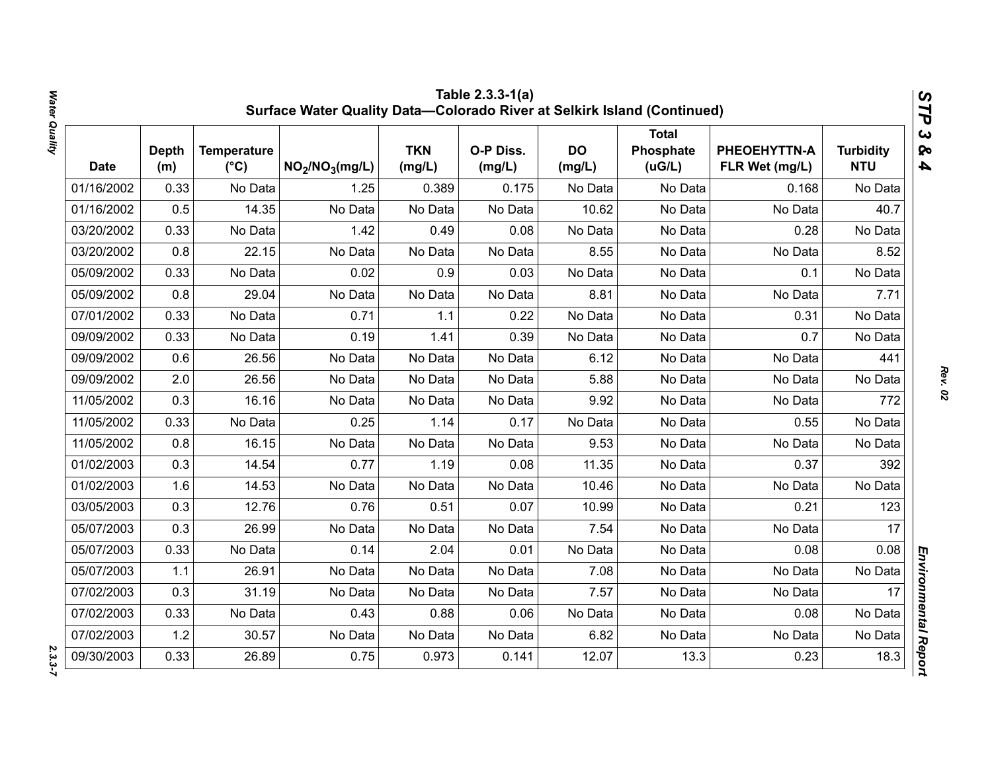|            |                     |                                     | Surface Water Quality Data-Colorado River at Selkirk Island (Continued) |                      | Table 2.3.3-1(a)    |                     |                                      |                                |                                | STP                                              |
|------------|---------------------|-------------------------------------|-------------------------------------------------------------------------|----------------------|---------------------|---------------------|--------------------------------------|--------------------------------|--------------------------------|--------------------------------------------------|
| Date       | <b>Depth</b><br>(m) | <b>Temperature</b><br>$(^{\circ}C)$ | NO <sub>2</sub> /NO <sub>3</sub> (mg/L)                                 | <b>TKN</b><br>(mg/L) | O-P Diss.<br>(mg/L) | <b>DO</b><br>(mg/L) | <b>Total</b><br>Phosphate<br>( uG/L) | PHEOEHYTTN-A<br>FLR Wet (mg/L) | <b>Turbidity</b><br><b>NTU</b> | $\boldsymbol{\omega}$<br>ନ୍ତ<br>$\blacktriangle$ |
| 01/16/2002 | 0.33                | No Data                             | 1.25                                                                    | 0.389                | 0.175               | No Data             | No Data                              | 0.168                          | No Data                        |                                                  |
| 01/16/2002 | 0.5                 | 14.35                               | No Data                                                                 | No Data              | No Data             | 10.62               | No Data                              | No Data                        | 40.7                           |                                                  |
| 03/20/2002 | 0.33                | No Data                             | 1.42                                                                    | 0.49                 | 0.08                | No Data             | No Data                              | 0.28                           | No Data                        |                                                  |
| 03/20/2002 | 0.8                 | 22.15                               | No Data                                                                 | No Data              | No Data             | 8.55                | No Data                              | No Data                        | 8.52                           |                                                  |
| 05/09/2002 | 0.33                | No Data                             | 0.02                                                                    | 0.9                  | 0.03                | No Data             | No Data                              | 0.1                            | No Data                        |                                                  |
| 05/09/2002 | 0.8                 | 29.04                               | No Data                                                                 | No Data              | No Data             | 8.81                | No Data                              | No Data                        | 7.71                           |                                                  |
| 07/01/2002 | 0.33                | No Data                             | 0.71                                                                    | 1.1                  | 0.22                | No Data             | No Data                              | 0.31                           | No Data                        |                                                  |
| 09/09/2002 | 0.33                | No Data                             | 0.19                                                                    | 1.41                 | 0.39                | No Data             | No Data                              | 0.7                            | No Data                        |                                                  |
| 09/09/2002 | 0.6                 | 26.56                               | No Data                                                                 | No Data              | No Data             | 6.12                | No Data                              | No Data                        | 441                            |                                                  |
| 09/09/2002 | 2.0                 | 26.56                               | No Data                                                                 | No Data              | No Data             | 5.88                | No Data                              | No Data                        | No Data                        |                                                  |
| 11/05/2002 | 0.3                 | 16.16                               | No Data                                                                 | No Data              | No Data             | 9.92                | No Data                              | No Data                        | 772                            |                                                  |
| 11/05/2002 | 0.33                | No Data                             | 0.25                                                                    | 1.14                 | 0.17                | No Data             | No Data                              | 0.55                           | No Data                        |                                                  |
| 11/05/2002 | 0.8                 | 16.15                               | No Data                                                                 | No Data              | No Data             | 9.53                | No Data                              | No Data                        | No Data                        |                                                  |
| 01/02/2003 | 0.3                 | 14.54                               | 0.77                                                                    | 1.19                 | 0.08                | 11.35               | No Data                              | 0.37                           | 392                            |                                                  |
| 01/02/2003 | 1.6                 | 14.53                               | No Data                                                                 | No Data              | No Data             | 10.46               | No Data                              | No Data                        | No Data                        |                                                  |
| 03/05/2003 | 0.3                 | 12.76                               | 0.76                                                                    | 0.51                 | 0.07                | 10.99               | No Data                              | 0.21                           | 123                            |                                                  |
| 05/07/2003 | 0.3                 | 26.99                               | No Data                                                                 | No Data              | No Data             | 7.54                | No Data                              | No Data                        | 17                             |                                                  |
| 05/07/2003 | 0.33                | No Data                             | 0.14                                                                    | 2.04                 | 0.01                | No Data             | No Data                              | 0.08                           | 0.08                           |                                                  |
| 05/07/2003 | 1.1                 | 26.91                               | No Data                                                                 | No Data              | No Data             | 7.08                | No Data                              | No Data                        | No Data                        |                                                  |
| 07/02/2003 | 0.3                 | 31.19                               | No Data                                                                 | No Data              | No Data             | 7.57                | No Data                              | No Data                        | 17                             |                                                  |
| 07/02/2003 | 0.33                | No Data                             | 0.43                                                                    | 0.88                 | 0.06                | No Data             | No Data                              | 0.08                           | No Data                        |                                                  |
| 07/02/2003 | 1.2                 | 30.57                               | No Data                                                                 | No Data              | No Data             | 6.82                | No Data                              | No Data                        | No Data                        |                                                  |
| 09/30/2003 | 0.33                | 26.89                               | 0.75                                                                    | 0.973                | 0.141               | 12.07               | 13.3                                 | 0.23                           | 18.3                           | Environmental Report                             |

*Rev. 02*

 $2.3.3 - 7$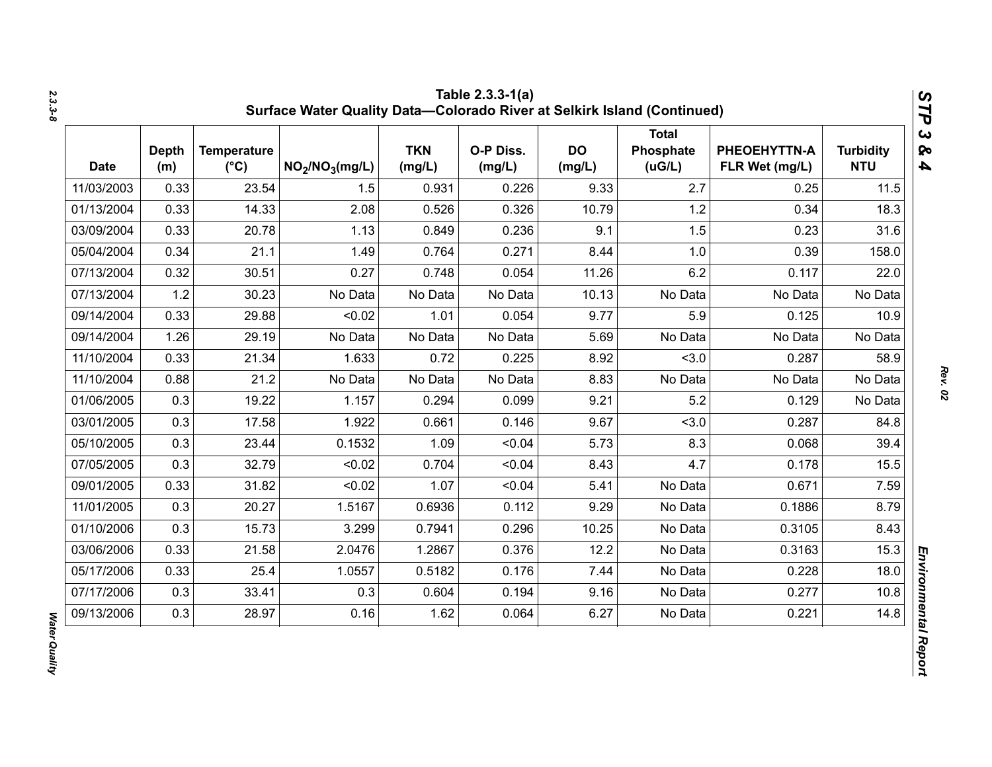| <b>Date</b> | <b>Depth</b><br>(m) | <b>Temperature</b><br>$(^{\circ}C)$ | NO <sub>2</sub> /NO <sub>3</sub> (mg/L) | <b>TKN</b><br>(mg/L) | O-P Diss.<br>(mg/L) | <b>DO</b><br>(mg/L) | <b>Total</b><br>Phosphate<br>(UG/L) | PHEOEHYTTN-A<br>FLR Wet (mg/L) | <b>Turbidity</b><br><b>NTU</b> |
|-------------|---------------------|-------------------------------------|-----------------------------------------|----------------------|---------------------|---------------------|-------------------------------------|--------------------------------|--------------------------------|
| 11/03/2003  | 0.33                | 23.54                               | 1.5                                     | 0.931                | 0.226               | 9.33                | 2.7                                 | 0.25                           | 11.5                           |
| 01/13/2004  | 0.33                | 14.33                               | 2.08                                    | 0.526                | 0.326               | 10.79               | 1.2                                 | 0.34                           | 18.3                           |
| 03/09/2004  | 0.33                | 20.78                               | 1.13                                    | 0.849                | 0.236               | 9.1                 | 1.5                                 | 0.23                           | 31.6                           |
| 05/04/2004  | 0.34                | 21.1                                | 1.49                                    | 0.764                | 0.271               | 8.44                | 1.0                                 | 0.39                           | 158.0                          |
| 07/13/2004  | 0.32                | 30.51                               | 0.27                                    | 0.748                | 0.054               | 11.26               | 6.2                                 | 0.117                          | 22.0                           |
| 07/13/2004  | 1.2                 | 30.23                               | No Data                                 | No Data              | No Data             | 10.13               | No Data                             | No Data                        | No Data                        |
| 09/14/2004  | 0.33                | 29.88                               | < 0.02                                  | 1.01                 | 0.054               | 9.77                | 5.9                                 | 0.125                          | 10.9                           |
| 09/14/2004  | 1.26                | 29.19                               | No Data                                 | No Data              | No Data             | 5.69                | No Data                             | No Data                        | No Data                        |
| 11/10/2004  | 0.33                | 21.34                               | 1.633                                   | 0.72                 | 0.225               | 8.92                | < 3.0                               | 0.287                          | 58.9                           |
| 11/10/2004  | 0.88                | 21.2                                | No Data                                 | No Data              | No Data             | 8.83                | No Data                             | No Data                        | No Data                        |
| 01/06/2005  | 0.3                 | 19.22                               | 1.157                                   | 0.294                | 0.099               | 9.21                | 5.2                                 | 0.129                          | No Data                        |
| 03/01/2005  | 0.3                 | 17.58                               | 1.922                                   | 0.661                | 0.146               | 9.67                | < 3.0                               | 0.287                          | 84.8                           |
| 05/10/2005  | 0.3                 | 23.44                               | 0.1532                                  | 1.09                 | < 0.04              | 5.73                | 8.3                                 | 0.068                          | 39.4                           |
| 07/05/2005  | 0.3                 | 32.79                               | < 0.02                                  | 0.704                | < 0.04              | 8.43                | 4.7                                 | 0.178                          | 15.5                           |
| 09/01/2005  | 0.33                | 31.82                               | < 0.02                                  | 1.07                 | < 0.04              | 5.41                | No Data                             | 0.671                          | 7.59                           |
| 11/01/2005  | 0.3                 | 20.27                               | 1.5167                                  | 0.6936               | 0.112               | 9.29                | No Data                             | 0.1886                         | 8.79                           |
| 01/10/2006  | 0.3                 | 15.73                               | 3.299                                   | 0.7941               | 0.296               | 10.25               | No Data                             | 0.3105                         | 8.43                           |
| 03/06/2006  | 0.33                | 21.58                               | 2.0476                                  | 1.2867               | 0.376               | 12.2                | No Data                             | 0.3163                         | 15.3                           |
| 05/17/2006  | 0.33                | 25.4                                | 1.0557                                  | 0.5182               | 0.176               | 7.44                | No Data                             | 0.228                          | 18.0                           |
| 07/17/2006  | 0.3                 | 33.41                               | 0.3                                     | 0.604                | 0.194               | 9.16                | No Data                             | 0.277                          | 10.8                           |
| 09/13/2006  | 0.3                 | 28.97                               | 0.16                                    | 1.62                 | 0.064               | 6.27                | No Data                             | 0.221                          | 14.8                           |

*STP 3 & 4*

**Water Quality** *Water Quality*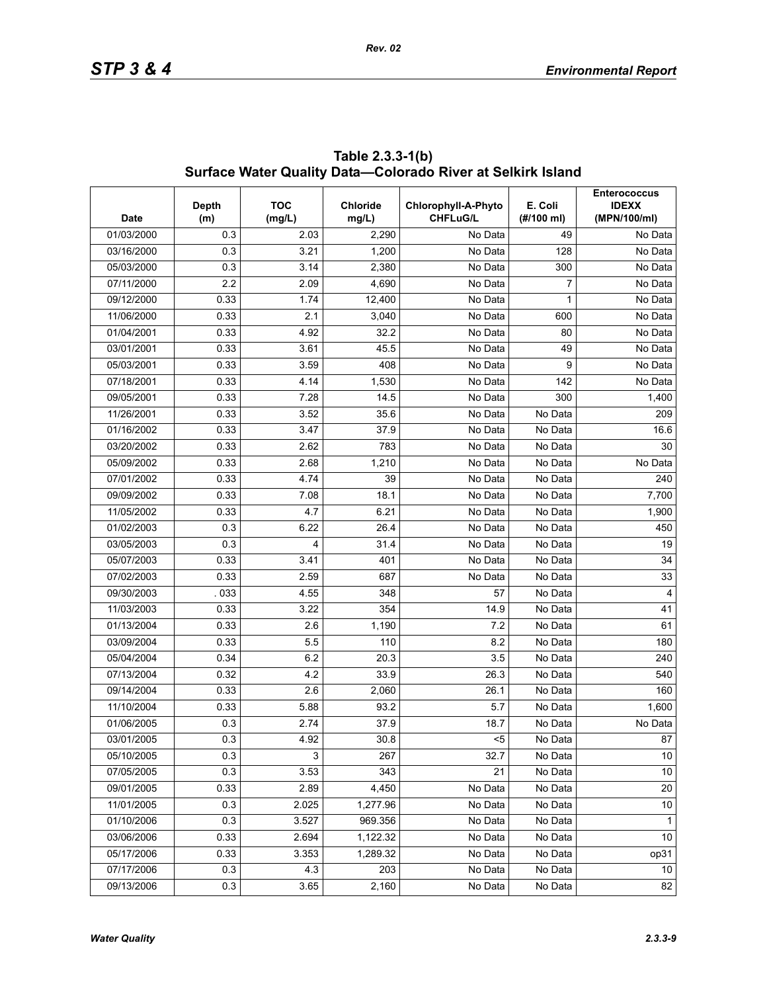| <b>Date</b> | Depth<br>(m) | <b>TOC</b><br>(mg/L) | <b>Chloride</b><br>mg/L) | Chlorophyll-A-Phyto<br><b>CHFLuG/L</b> | E. Coli<br>(#/100 ml) | <b>Enterococcus</b><br><b>IDEXX</b><br>(MPN/100/ml) |
|-------------|--------------|----------------------|--------------------------|----------------------------------------|-----------------------|-----------------------------------------------------|
| 01/03/2000  | 0.3          | 2.03                 | 2,290                    | No Data                                | 49                    | No Data                                             |
| 03/16/2000  | 0.3          | 3.21                 | 1,200                    | No Data                                | 128                   | No Data                                             |
| 05/03/2000  | 0.3          | 3.14                 | 2,380                    | No Data                                | 300                   | No Data                                             |
| 07/11/2000  | 2.2          | 2.09                 | 4,690                    | No Data                                | 7                     | No Data                                             |
| 09/12/2000  | 0.33         | 1.74                 | 12,400                   | No Data                                | 1                     | No Data                                             |
| 11/06/2000  | 0.33         | 2.1                  | 3,040                    | No Data                                | 600                   | No Data                                             |
| 01/04/2001  | 0.33         | 4.92                 | 32.2                     | No Data                                | 80                    | No Data                                             |
| 03/01/2001  | 0.33         | 3.61                 | 45.5                     | No Data                                | 49                    | No Data                                             |
| 05/03/2001  | 0.33         | 3.59                 | 408                      | No Data                                | 9                     | No Data                                             |
| 07/18/2001  | 0.33         | 4.14                 | 1,530                    | No Data                                | 142                   | No Data                                             |
| 09/05/2001  | 0.33         | 7.28                 | 14.5                     | No Data                                | 300                   | 1,400                                               |
| 11/26/2001  | 0.33         | 3.52                 | 35.6                     | No Data                                | No Data               | 209                                                 |
| 01/16/2002  | 0.33         | 3.47                 | 37.9                     | No Data                                | No Data               | 16.6                                                |
| 03/20/2002  | 0.33         | 2.62                 | 783                      | No Data                                | No Data               | 30                                                  |
| 05/09/2002  | 0.33         | 2.68                 | 1,210                    | No Data                                | No Data               | No Data                                             |
| 07/01/2002  | 0.33         | 4.74                 | 39                       | No Data                                | No Data               | 240                                                 |
| 09/09/2002  | 0.33         | 7.08                 | 18.1                     | No Data                                | No Data               | 7,700                                               |
| 11/05/2002  | 0.33         | 4.7                  | 6.21                     | No Data                                | No Data               | 1,900                                               |
| 01/02/2003  | 0.3          | 6.22                 | 26.4                     | No Data                                | No Data               | 450                                                 |
| 03/05/2003  | 0.3          | 4                    | 31.4                     | No Data                                | No Data               | 19                                                  |
| 05/07/2003  | 0.33         | 3.41                 | 401                      | No Data                                | No Data               | 34                                                  |
| 07/02/2003  | 0.33         | 2.59                 | 687                      | No Data                                | No Data               | 33                                                  |
| 09/30/2003  | 033          | 4.55                 | 348                      | 57                                     | No Data               | $\overline{4}$                                      |
| 11/03/2003  | 0.33         | 3.22                 | 354                      | 14.9                                   | No Data               | 41                                                  |
| 01/13/2004  | 0.33         | 2.6                  | 1,190                    | 7.2                                    | No Data               | 61                                                  |
| 03/09/2004  | 0.33         | 5.5                  | 110                      | 8.2                                    | No Data               | 180                                                 |
| 05/04/2004  | 0.34         | 6.2                  | 20.3                     | 3.5                                    | No Data               | 240                                                 |
| 07/13/2004  | 0.32         | 4.2                  | 33.9                     | 26.3                                   | No Data               | 540                                                 |
| 09/14/2004  | 0.33         | 2.6                  | 2,060                    | 26.1                                   | No Data               | 160                                                 |
| 11/10/2004  | 0.33         | 5.88                 | 93.2                     | 5.7                                    | No Data               | 1,600                                               |
| 01/06/2005  | 0.3          | 2.74                 | 37.9                     | 18.7                                   | No Data               | No Data                                             |
| 03/01/2005  | 0.3          | 4.92                 | 30.8                     | $5$                                    | No Data               | 87                                                  |
| 05/10/2005  | 0.3          | 3                    | 267                      | 32.7                                   | No Data               | 10                                                  |
| 07/05/2005  | 0.3          | 3.53                 | 343                      | 21                                     | No Data               | 10                                                  |
| 09/01/2005  | 0.33         | 2.89                 | 4,450                    | No Data                                | No Data               | 20                                                  |
| 11/01/2005  | 0.3          | 2.025                | 1,277.96                 | No Data                                | No Data               | 10                                                  |
| 01/10/2006  | 0.3          | 3.527                | 969.356                  | No Data                                | No Data               | 1                                                   |
| 03/06/2006  | 0.33         | 2.694                | 1,122.32                 | No Data                                | No Data               | 10                                                  |
| 05/17/2006  | 0.33         | 3.353                | 1,289.32                 | No Data                                | No Data               | op31                                                |
| 07/17/2006  | 0.3          | 4.3                  | 203                      | No Data                                | No Data               | 10                                                  |
| 09/13/2006  | 0.3          | 3.65                 | 2,160                    | No Data                                | No Data               | 82                                                  |

**Table 2.3.3-1(b) Surface Water Quality Data—Colorado River at Selkirk Island**

*Rev. 02*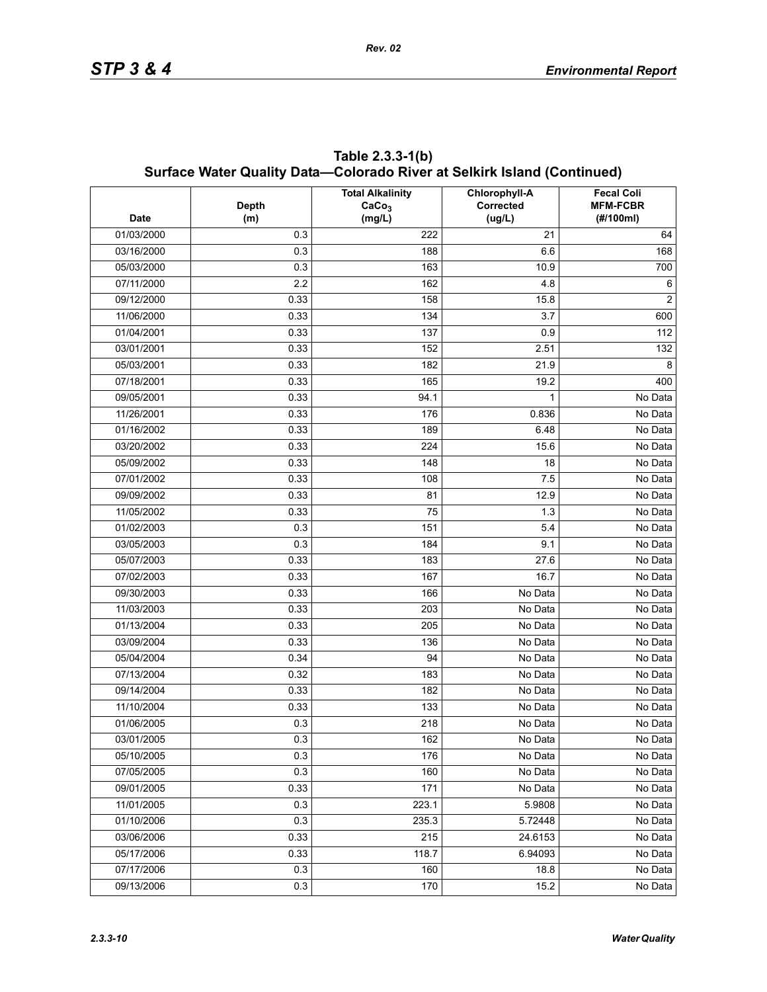|             |              | Surface Water Quality Data—Colorado River at Selkirk Island (Continued)<br><b>Total Alkalinity</b> | Chlorophyll-A | <b>Fecal Coli</b>            |
|-------------|--------------|----------------------------------------------------------------------------------------------------|---------------|------------------------------|
| <b>Date</b> | <b>Depth</b> | CaCo <sub>3</sub>                                                                                  | Corrected     | <b>MFM-FCBR</b><br>(#/100ml) |
| 01/03/2000  | (m)<br>0.3   | (mg/L)<br>222                                                                                      | (ug/L)<br>21  |                              |
| 03/16/2000  | 0.3          | 188                                                                                                | 6.6           | 64<br>168                    |
|             | 0.3          |                                                                                                    | 10.9          |                              |
| 05/03/2000  |              | 163                                                                                                |               | 700                          |
| 07/11/2000  | 2.2          | 162                                                                                                | 4.8           | 6<br>2                       |
| 09/12/2000  | 0.33         | 158                                                                                                | 15.8          |                              |
| 11/06/2000  | 0.33         | 134                                                                                                | 3.7           | 600                          |
| 01/04/2001  | 0.33         | 137                                                                                                | 0.9           | 112                          |
| 03/01/2001  | 0.33         | 152                                                                                                | 2.51          | 132                          |
| 05/03/2001  | 0.33         | 182                                                                                                | 21.9          | 8                            |
| 07/18/2001  | 0.33         | 165                                                                                                | 19.2          | 400                          |
| 09/05/2001  | 0.33         | 94.1                                                                                               | 1             | No Data                      |
| 11/26/2001  | 0.33         | 176                                                                                                | 0.836         | No Data                      |
| 01/16/2002  | 0.33         | 189                                                                                                | 6.48          | No Data                      |
| 03/20/2002  | 0.33         | 224                                                                                                | 15.6          | No Data                      |
| 05/09/2002  | 0.33         | 148                                                                                                | 18            | No Data                      |
| 07/01/2002  | 0.33         | 108                                                                                                | 7.5           | No Data                      |
| 09/09/2002  | 0.33         | 81                                                                                                 | 12.9          | No Data                      |
| 11/05/2002  | 0.33         | 75                                                                                                 | 1.3           | No Data                      |
| 01/02/2003  | 0.3          | 151                                                                                                | 5.4           | No Data                      |
| 03/05/2003  | 0.3          | 184                                                                                                | 9.1           | No Data                      |
| 05/07/2003  | 0.33         | 183                                                                                                | 27.6          | No Data                      |
| 07/02/2003  | 0.33         | 167                                                                                                | 16.7          | No Data                      |
| 09/30/2003  | 0.33         | 166                                                                                                | No Data       | No Data                      |
| 11/03/2003  | 0.33         | 203                                                                                                | No Data       | No Data                      |
| 01/13/2004  | 0.33         | 205                                                                                                | No Data       | No Data                      |
| 03/09/2004  | 0.33         | 136                                                                                                | No Data       | No Data                      |
| 05/04/2004  | 0.34         | 94                                                                                                 | No Data       | No Data                      |
| 07/13/2004  | 0.32         | 183                                                                                                | No Data       | No Data                      |
| 09/14/2004  | 0.33         | 182                                                                                                | No Data       | No Data                      |
| 11/10/2004  | 0.33         | 133                                                                                                | No Data       | No Data                      |
| 01/06/2005  | 0.3          | 218                                                                                                | No Data       | No Data                      |
| 03/01/2005  | 0.3          | 162                                                                                                | No Data       | No Data                      |
| 05/10/2005  | 0.3          | 176                                                                                                | No Data       | No Data                      |
| 07/05/2005  | 0.3          | 160                                                                                                | No Data       | No Data                      |
| 09/01/2005  | 0.33         | 171                                                                                                | No Data       | No Data                      |
| 11/01/2005  | 0.3          | 223.1                                                                                              | 5.9808        | No Data                      |
| 01/10/2006  | 0.3          | 235.3                                                                                              | 5.72448       | No Data                      |
| 03/06/2006  | 0.33         | 215                                                                                                | 24.6153       | No Data                      |
| 05/17/2006  | 0.33         | 118.7                                                                                              | 6.94093       | No Data                      |
| 07/17/2006  | 0.3          | 160                                                                                                | 18.8          | No Data                      |
| 09/13/2006  | 0.3          | 170                                                                                                | 15.2          | No Data                      |

**Table 2.3.3-1(b) Surface Water Quality Data—Colorado River at Selkirk Island (Continued)**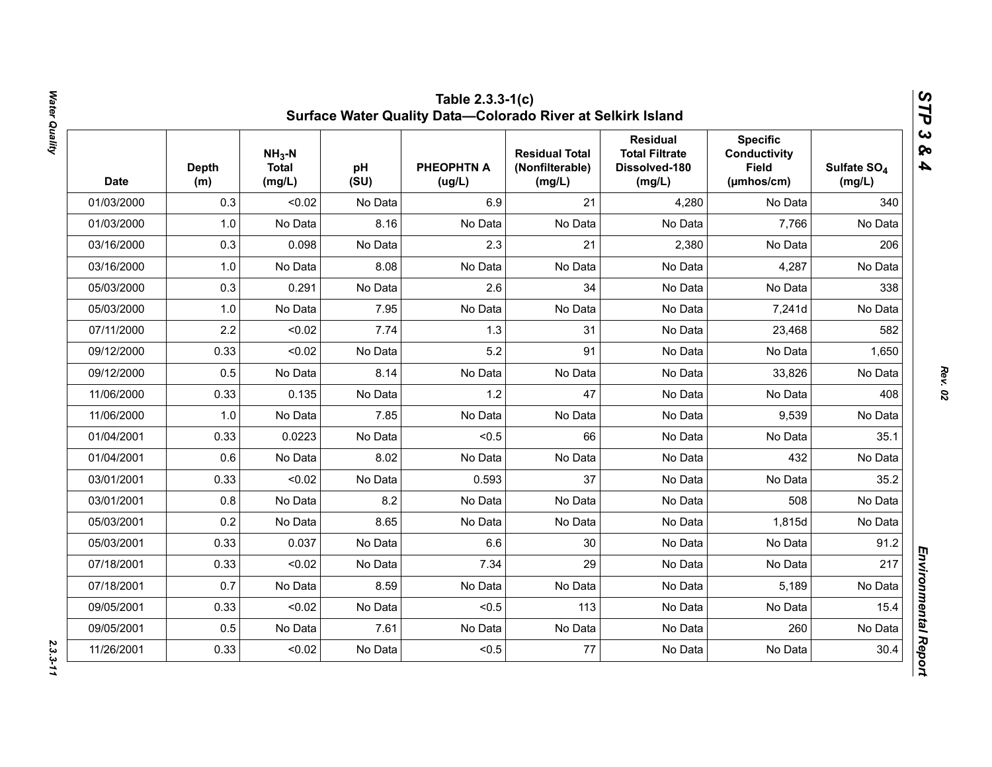| <b>Date</b> | <b>Depth</b><br>(m) | $NH3-N$<br><b>Total</b><br>(mg/L) | pH<br>(SU) | <b>PHEOPHTN A</b><br>(ug/L) | <b>Residual Total</b><br>(Nonfilterable)<br>(mg/L) | <b>Residual</b><br><b>Total Filtrate</b><br>Dissolved-180<br>(mg/L) | <b>Specific</b><br><b>Conductivity</b><br><b>Field</b><br>(µmhos/cm) | Sulfate SO <sub>4</sub><br>(mg/L) |
|-------------|---------------------|-----------------------------------|------------|-----------------------------|----------------------------------------------------|---------------------------------------------------------------------|----------------------------------------------------------------------|-----------------------------------|
| 01/03/2000  | 0.3                 | < 0.02                            | No Data    | 6.9                         | 21                                                 | 4,280                                                               | No Data                                                              | 340                               |
| 01/03/2000  | 1.0                 | No Data                           | 8.16       | No Data                     | No Data                                            | No Data                                                             | 7,766                                                                | No Data                           |
| 03/16/2000  | 0.3                 | 0.098                             | No Data    | 2.3                         | 21                                                 | 2,380                                                               | No Data                                                              | 206                               |
| 03/16/2000  | 1.0                 | No Data                           | 8.08       | No Data                     | No Data                                            | No Data                                                             | 4,287                                                                | No Data                           |
| 05/03/2000  | 0.3                 | 0.291                             | No Data    | 2.6                         | 34                                                 | No Data                                                             | No Data                                                              | 338                               |
| 05/03/2000  | 1.0                 | No Data                           | 7.95       | No Data                     | No Data                                            | No Data                                                             | 7,241d                                                               | No Data                           |
| 07/11/2000  | 2.2                 | < 0.02                            | 7.74       | 1.3                         | 31                                                 | No Data                                                             | 23,468                                                               | 582                               |
| 09/12/2000  | 0.33                | < 0.02                            | No Data    | 5.2                         | 91                                                 | No Data                                                             | No Data                                                              | 1,650                             |
| 09/12/2000  | 0.5                 | No Data                           | 8.14       | No Data                     | No Data                                            | No Data                                                             | 33,826                                                               | No Data                           |
| 11/06/2000  | 0.33                | 0.135                             | No Data    | 1.2                         | 47                                                 | No Data                                                             | No Data                                                              | 408                               |
| 11/06/2000  | 1.0                 | No Data                           | 7.85       | No Data                     | No Data                                            | No Data                                                             | 9,539                                                                | No Data                           |
| 01/04/2001  | 0.33                | 0.0223                            | No Data    | < 0.5                       | 66                                                 | No Data                                                             | No Data                                                              | 35.1                              |
| 01/04/2001  | 0.6                 | No Data                           | 8.02       | No Data                     | No Data                                            | No Data                                                             | 432                                                                  | No Data                           |
| 03/01/2001  | 0.33                | < 0.02                            | No Data    | 0.593                       | 37                                                 | No Data                                                             | No Data                                                              | 35.2                              |
| 03/01/2001  | 0.8                 | No Data                           | 8.2        | No Data                     | No Data                                            | No Data                                                             | 508                                                                  | No Data                           |
| 05/03/2001  | 0.2                 | No Data                           | 8.65       | No Data                     | No Data                                            | No Data                                                             | 1,815d                                                               | No Data                           |
| 05/03/2001  | 0.33                | 0.037                             | No Data    | 6.6                         | 30                                                 | No Data                                                             | No Data                                                              | 91.2                              |
| 07/18/2001  | 0.33                | < 0.02                            | No Data    | 7.34                        | 29                                                 | No Data                                                             | No Data                                                              | 217                               |
| 07/18/2001  | 0.7                 | No Data                           | 8.59       | No Data                     | No Data                                            | No Data                                                             | 5,189                                                                | No Data                           |
| 09/05/2001  | 0.33                | < 0.02                            | No Data    | < 0.5                       | 113                                                | No Data                                                             | No Data                                                              | 15.4                              |
| 09/05/2001  | 0.5                 | No Data                           | 7.61       | No Data                     | No Data                                            | No Data                                                             | 260                                                                  | No Data                           |
| 11/26/2001  | 0.33                | < 0.02                            | No Data    | < 0.5                       | 77                                                 | No Data                                                             | No Data                                                              | 30.4                              |

Water Quality *Water Quality 2.3.3-11*

*Rev. 02*

 $2.3.3 - 11$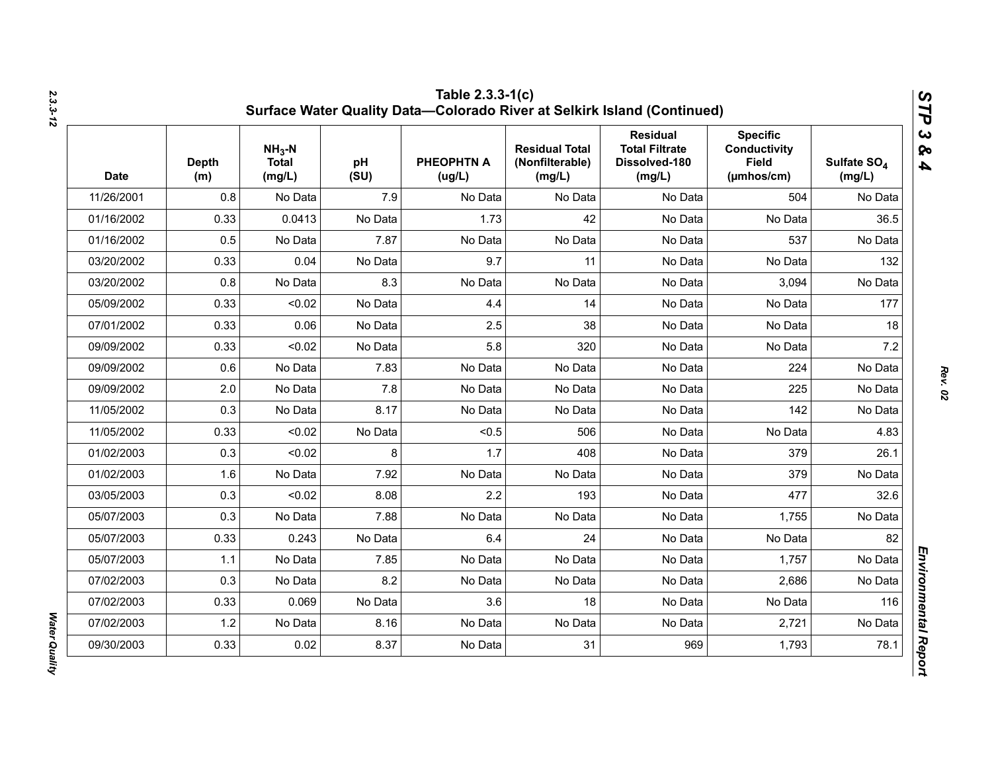| <b>Date</b> | <b>Depth</b><br>(m) | $NH3-N$<br><b>Total</b><br>(mg/L) | pH<br>(SU) | <b>PHEOPHTN A</b><br>(ug/L) | <b>Residual Total</b><br>(Nonfilterable)<br>(mg/L) | <b>Residual</b><br><b>Total Filtrate</b><br>Dissolved-180<br>(mg/L) | <b>Specific</b><br><b>Conductivity</b><br><b>Field</b><br>$(\mu m \text{hos/cm})$ | Sulfate SO <sub>4</sub><br>(mg/L) |
|-------------|---------------------|-----------------------------------|------------|-----------------------------|----------------------------------------------------|---------------------------------------------------------------------|-----------------------------------------------------------------------------------|-----------------------------------|
| 11/26/2001  | 0.8                 | No Data                           | 7.9        | No Data                     | No Data                                            | No Data                                                             | 504                                                                               | No Data                           |
| 01/16/2002  | 0.33                | 0.0413                            | No Data    | 1.73                        | 42                                                 | No Data                                                             | No Data                                                                           | 36.5                              |
| 01/16/2002  | 0.5                 | No Data                           | 7.87       | No Data                     | No Data                                            | No Data                                                             | 537                                                                               | No Data                           |
| 03/20/2002  | 0.33                | 0.04                              | No Data    | 9.7                         | 11                                                 | No Data                                                             | No Data                                                                           | 132                               |
| 03/20/2002  | 0.8                 | No Data                           | 8.3        | No Data                     | No Data                                            | No Data                                                             | 3,094                                                                             | No Data                           |
| 05/09/2002  | 0.33                | < 0.02                            | No Data    | 4.4                         | 14                                                 | No Data                                                             | No Data                                                                           | 177                               |
| 07/01/2002  | 0.33                | 0.06                              | No Data    | 2.5                         | 38                                                 | No Data                                                             | No Data                                                                           | 18                                |
| 09/09/2002  | 0.33                | < 0.02                            | No Data    | 5.8                         | 320                                                | No Data                                                             | No Data                                                                           | 7.2                               |
| 09/09/2002  | 0.6                 | No Data                           | 7.83       | No Data                     | No Data                                            | No Data                                                             | 224                                                                               | No Data                           |
| 09/09/2002  | 2.0                 | No Data                           | 7.8        | No Data                     | No Data                                            | No Data                                                             | 225                                                                               | No Data                           |
| 11/05/2002  | 0.3                 | No Data                           | 8.17       | No Data                     | No Data                                            | No Data                                                             | 142                                                                               | No Data                           |
| 11/05/2002  | 0.33                | < 0.02                            | No Data    | < 0.5                       | 506                                                | No Data                                                             | No Data                                                                           | 4.83                              |
| 01/02/2003  | 0.3                 | < 0.02                            | 8          | 1.7                         | 408                                                | No Data                                                             | 379                                                                               | 26.1                              |
| 01/02/2003  | 1.6                 | No Data                           | 7.92       | No Data                     | No Data                                            | No Data                                                             | 379                                                                               | No Data                           |
| 03/05/2003  | 0.3                 | < 0.02                            | 8.08       | 2.2                         | 193                                                | No Data                                                             | 477                                                                               | 32.6                              |
| 05/07/2003  | 0.3                 | No Data                           | 7.88       | No Data                     | No Data                                            | No Data                                                             | 1,755                                                                             | No Data                           |
| 05/07/2003  | 0.33                | 0.243                             | No Data    | 6.4                         | 24                                                 | No Data                                                             | No Data                                                                           | 82                                |
| 05/07/2003  | 1.1                 | No Data                           | 7.85       | No Data                     | No Data                                            | No Data                                                             | 1,757                                                                             | No Data                           |
| 07/02/2003  | 0.3                 | No Data                           | 8.2        | No Data                     | No Data                                            | No Data                                                             | 2,686                                                                             | No Data                           |
| 07/02/2003  | 0.33                | 0.069                             | No Data    | 3.6                         | 18                                                 | No Data                                                             | No Data                                                                           | 116                               |
| 07/02/2003  | 1.2                 | No Data                           | 8.16       | No Data                     | No Data                                            | No Data                                                             | 2,721                                                                             | No Data                           |
| 09/30/2003  | 0.33                | 0.02                              | 8.37       | No Data                     | 31                                                 | 969                                                                 | 1,793                                                                             | 78.1                              |

*Water Quality* 

**Water Quality**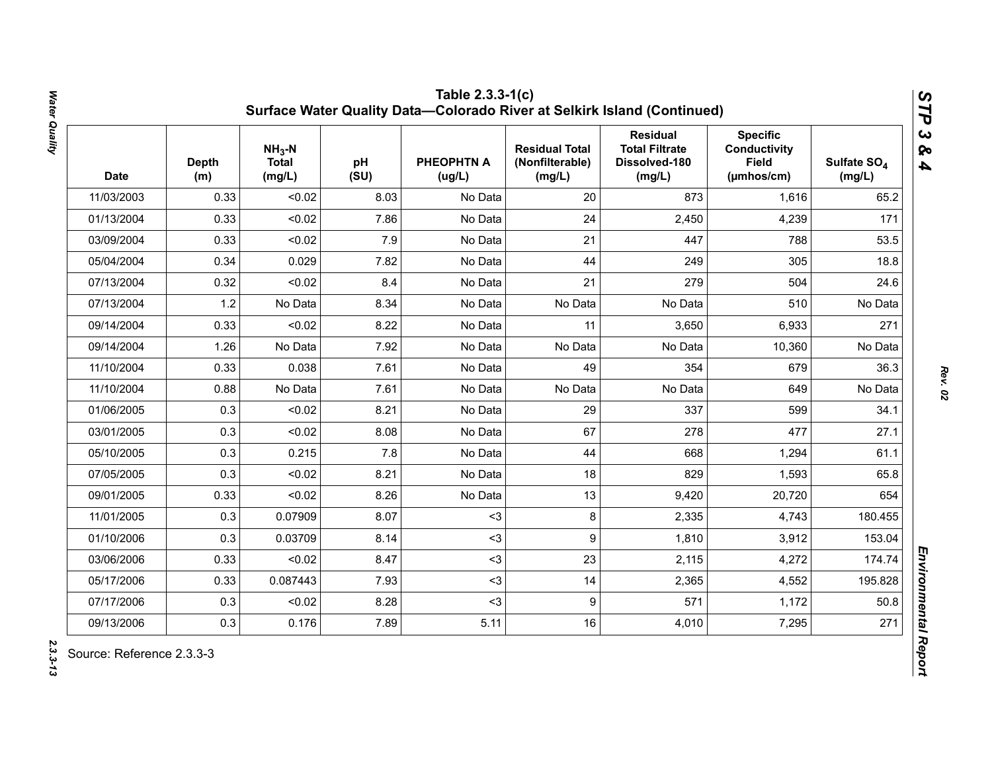| <b>Date</b> | <b>Depth</b><br>(m) | $NH3-N$<br><b>Total</b><br>(mg/L) | pH<br>(SU) | <b>PHEOPHTN A</b><br>(ug/L) | <b>Residual Total</b><br>(Nonfilterable)<br>(mg/L) | <b>Residual</b><br><b>Total Filtrate</b><br>Dissolved-180<br>(mg/L) | <b>Specific</b><br>Conductivity<br><b>Field</b><br>(µmhos/cm) | Sulfate SO <sub>4</sub><br>(mg/L) |
|-------------|---------------------|-----------------------------------|------------|-----------------------------|----------------------------------------------------|---------------------------------------------------------------------|---------------------------------------------------------------|-----------------------------------|
| 11/03/2003  | 0.33                | < 0.02                            | 8.03       | No Data                     | 20                                                 | 873                                                                 | 1,616                                                         | 65.2                              |
| 01/13/2004  | 0.33                | < 0.02                            | 7.86       | No Data                     | 24                                                 | 2,450                                                               | 4,239                                                         | 171                               |
| 03/09/2004  | 0.33                | < 0.02                            | 7.9        | No Data                     | 21                                                 | 447                                                                 | 788                                                           | 53.5                              |
| 05/04/2004  | 0.34                | 0.029                             | 7.82       | No Data                     | 44                                                 | 249                                                                 | 305                                                           | 18.8                              |
| 07/13/2004  | 0.32                | < 0.02                            | 8.4        | No Data                     | 21                                                 | 279                                                                 | 504                                                           | 24.6                              |
| 07/13/2004  | 1.2                 | No Data                           | 8.34       | No Data                     | No Data                                            | No Data                                                             | 510                                                           | No Data                           |
| 09/14/2004  | 0.33                | < 0.02                            | 8.22       | No Data                     | 11                                                 | 3,650                                                               | 6,933                                                         | 271                               |
| 09/14/2004  | 1.26                | No Data                           | 7.92       | No Data                     | No Data                                            | No Data                                                             | 10,360                                                        | No Data                           |
| 11/10/2004  | 0.33                | 0.038                             | 7.61       | No Data                     | 49                                                 | 354                                                                 | 679                                                           | 36.3                              |
| 11/10/2004  | 0.88                | No Data                           | 7.61       | No Data                     | No Data                                            | No Data                                                             | 649                                                           | No Data                           |
| 01/06/2005  | 0.3                 | < 0.02                            | 8.21       | No Data                     | 29                                                 | 337                                                                 | 599                                                           | 34.1                              |
| 03/01/2005  | 0.3                 | < 0.02                            | 8.08       | No Data                     | 67                                                 | 278                                                                 | 477                                                           | 27.1                              |
| 05/10/2005  | 0.3                 | 0.215                             | 7.8        | No Data                     | 44                                                 | 668                                                                 | 1,294                                                         | 61.1                              |
| 07/05/2005  | 0.3                 | < 0.02                            | 8.21       | No Data                     | 18                                                 | 829                                                                 | 1,593                                                         | 65.8                              |
| 09/01/2005  | 0.33                | < 0.02                            | 8.26       | No Data                     | 13                                                 | 9,420                                                               | 20,720                                                        | 654                               |
| 11/01/2005  | 0.3                 | 0.07909                           | 8.07       | $3$                         | 8                                                  | 2,335                                                               | 4,743                                                         | 180.455                           |
| 01/10/2006  | 0.3                 | 0.03709                           | 8.14       | $3$                         | 9                                                  | 1,810                                                               | 3,912                                                         | 153.04                            |
| 03/06/2006  | 0.33                | < 0.02                            | 8.47       | $3$                         | 23                                                 | 2,115                                                               | 4,272                                                         | 174.74                            |
| 05/17/2006  | 0.33                | 0.087443                          | 7.93       | $3$                         | 14                                                 | 2,365                                                               | 4,552                                                         | 195.828                           |
| 07/17/2006  | 0.3                 | < 0.02                            | 8.28       | $3$                         | 9                                                  | 571                                                                 | 1,172                                                         | 50.8                              |
| 09/13/2006  | 0.3                 | 0.176                             | 7.89       | 5.11                        | 16                                                 | 4,010                                                               | 7,295                                                         | 271                               |

Water Quality *Water Quality 2.3.3-13*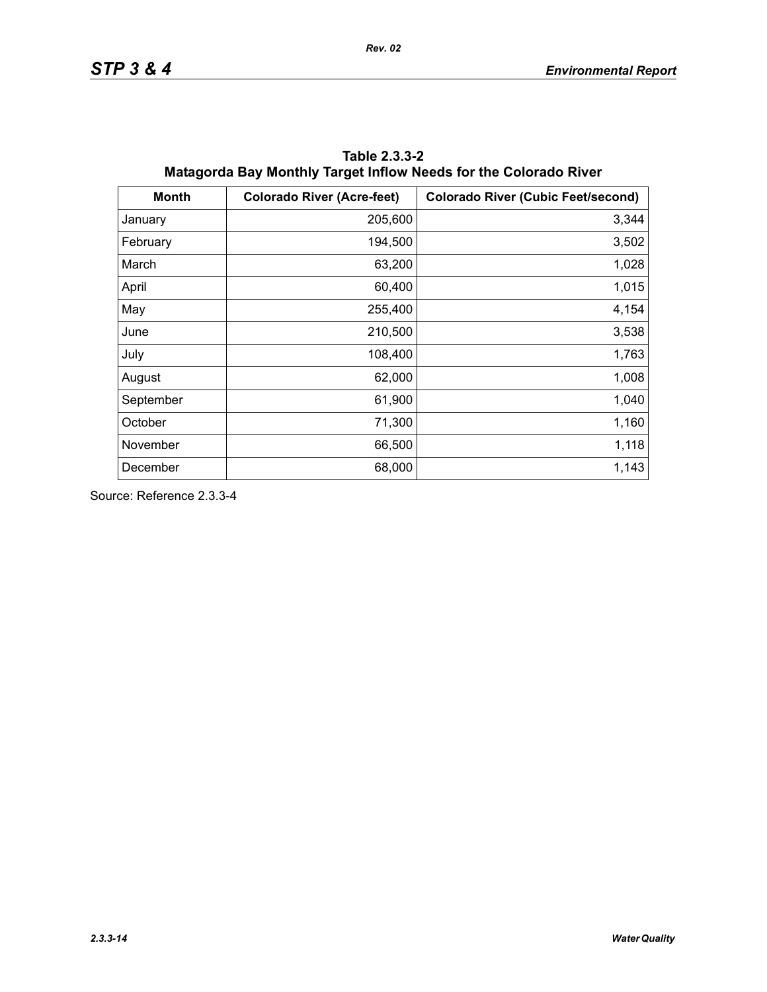| <b>Month</b> | <b>Colorado River (Acre-feet)</b> | <b>Colorado River (Cubic Feet/second)</b> |
|--------------|-----------------------------------|-------------------------------------------|
| January      | 205,600                           | 3,344                                     |
| February     | 194,500                           | 3,502                                     |
| March        | 63,200                            | 1,028                                     |
| April        | 60,400                            | 1,015                                     |
| May          | 255,400                           | 4,154                                     |
| June         | 210,500                           | 3,538                                     |
| July         | 108,400                           | 1,763                                     |
| August       | 62,000                            | 1,008                                     |
| September    | 61,900                            | 1,040                                     |
| October      | 71,300                            | 1,160                                     |
| November     | 66,500                            | 1,118                                     |
| December     | 68,000                            | 1,143                                     |

**Table 2.3.3-2 Matagorda Bay Monthly Target Inflow Needs for the Colorado River**

Source: Reference 2.3.3-4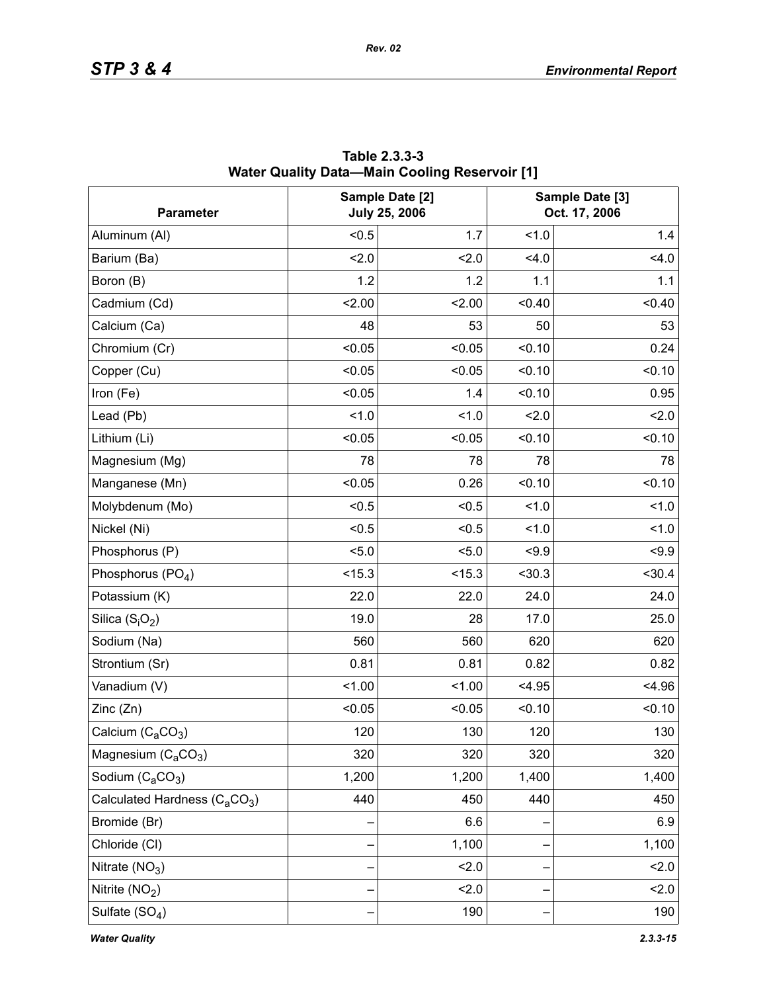| <b>Parameter</b>                                      |        | Sample Date [2]<br><b>July 25, 2006</b> |        | Sample Date [3]<br>Oct. 17, 2006 |
|-------------------------------------------------------|--------|-----------------------------------------|--------|----------------------------------|
| Aluminum (AI)                                         | < 0.5  | 1.7                                     | 1.0    | 1.4                              |
| Barium (Ba)                                           | 2.0    | 2.0                                     | 4.0    | 4.0                              |
| Boron (B)                                             | 1.2    | 1.2                                     | 1.1    | 1.1                              |
| Cadmium (Cd)                                          | 2.00   | 2.00                                    | < 0.40 | < 0.40                           |
| Calcium (Ca)                                          | 48     | 53                                      | 50     | 53                               |
| Chromium (Cr)                                         | < 0.05 | < 0.05                                  | < 0.10 | 0.24                             |
| Copper (Cu)                                           | < 0.05 | < 0.05                                  | < 0.10 | < 0.10                           |
| Iron (Fe)                                             | < 0.05 | 1.4                                     | < 0.10 | 0.95                             |
| Lead (Pb)                                             | 1.0    | 1.0                                     | 2.0    | 2.0                              |
| Lithium (Li)                                          | < 0.05 | < 0.05                                  | < 0.10 | < 0.10                           |
| Magnesium (Mg)                                        | 78     | 78                                      | 78     | 78                               |
| Manganese (Mn)                                        | < 0.05 | 0.26                                    | < 0.10 | < 0.10                           |
| Molybdenum (Mo)                                       | < 0.5  | < 0.5                                   | 1.0    | 1.0                              |
| Nickel (Ni)                                           | < 0.5  | < 0.5                                   | 1.0    | 1.0                              |
| Phosphorus (P)                                        | < 5.0  | 5.0                                     | < 9.9  | < 9.9                            |
| Phosphorus (PO <sub>4</sub> )                         | < 15.3 | < 15.3                                  | < 30.3 | < 30.4                           |
| Potassium (K)                                         | 22.0   | 22.0                                    | 24.0   | 24.0                             |
| Silica $(S_iO_2)$                                     | 19.0   | 28                                      | 17.0   | 25.0                             |
| Sodium (Na)                                           | 560    | 560                                     | 620    | 620                              |
| Strontium (Sr)                                        | 0.81   | 0.81                                    | 0.82   | 0.82                             |
| Vanadium (V)                                          | 1.00   | 1.00                                    | < 4.95 | < 4.96                           |
| Zinc(Zn)                                              | < 0.05 | < 0.05                                  | < 0.10 | < 0.10                           |
| Calcium $(C_aCO_3)$                                   | 120    | 130                                     | 120    | 130                              |
| Magnesium $(C_aCO_3)$                                 | 320    | 320                                     | 320    | 320                              |
| Sodium (C <sub>a</sub> CO <sub>3</sub> )              | 1,200  | 1,200                                   | 1,400  | 1,400                            |
| Calculated Hardness (C <sub>a</sub> CO <sub>3</sub> ) | 440    | 450                                     | 440    | 450                              |
| Bromide (Br)                                          |        | 6.6                                     |        | 6.9                              |
| Chloride (CI)                                         |        | 1,100                                   |        | 1,100                            |
| Nitrate $(NO3)$                                       |        | 2.0                                     |        | 2.0                              |
| Nitrite $(NO2)$                                       |        | 2.0                                     |        | 2.0                              |
| Sulfate $(SO4)$                                       |        | 190                                     |        | 190                              |

**Table 2.3.3-3 Water Quality Data—Main Cooling Reservoir [1]**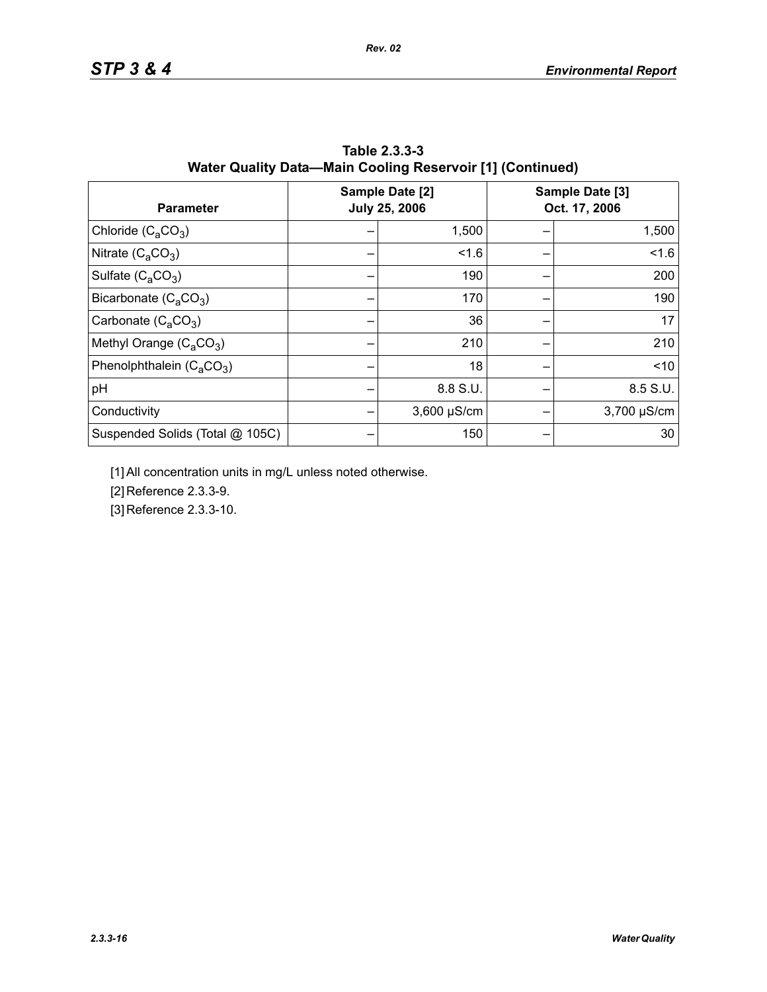| <b>Parameter</b>                | Sample Date [2]<br><b>July 25, 2006</b> | Sample Date [3]<br>Oct. 17, 2006 |
|---------------------------------|-----------------------------------------|----------------------------------|
| Chloride $(C_4CO_3)$            | 1,500                                   | 1,500                            |
| Nitrate $(C_2CO_3)$             | 1.6                                     | 1.6                              |
| Sulfate $(C_4CO_3)$             | 190                                     | 200                              |
| Bicarbonate $(C_4CO_3)$         | 170                                     | 190                              |
| Carbonate $(C_2CO_3)$           | 36                                      | 17                               |
| Methyl Orange $(C_3CO_3)$       | 210                                     | 210                              |
| Phenolphthalein $(C_4CO_3)$     | 18                                      | ~10                              |
| pH                              | 8.8 S.U.                                | 8.5 S.U.                         |
| Conductivity                    | $3,600 \mu S/cm$                        | 3,700 µS/cm                      |
| Suspended Solids (Total @ 105C) | 150                                     | 30                               |

**Table 2.3.3-3 Water Quality Data—Main Cooling Reservoir [1] (Continued)**

[1] All concentration units in mg/L unless noted otherwise.

[2] Reference 2.3.3-9.

[3] Reference 2.3.3-10.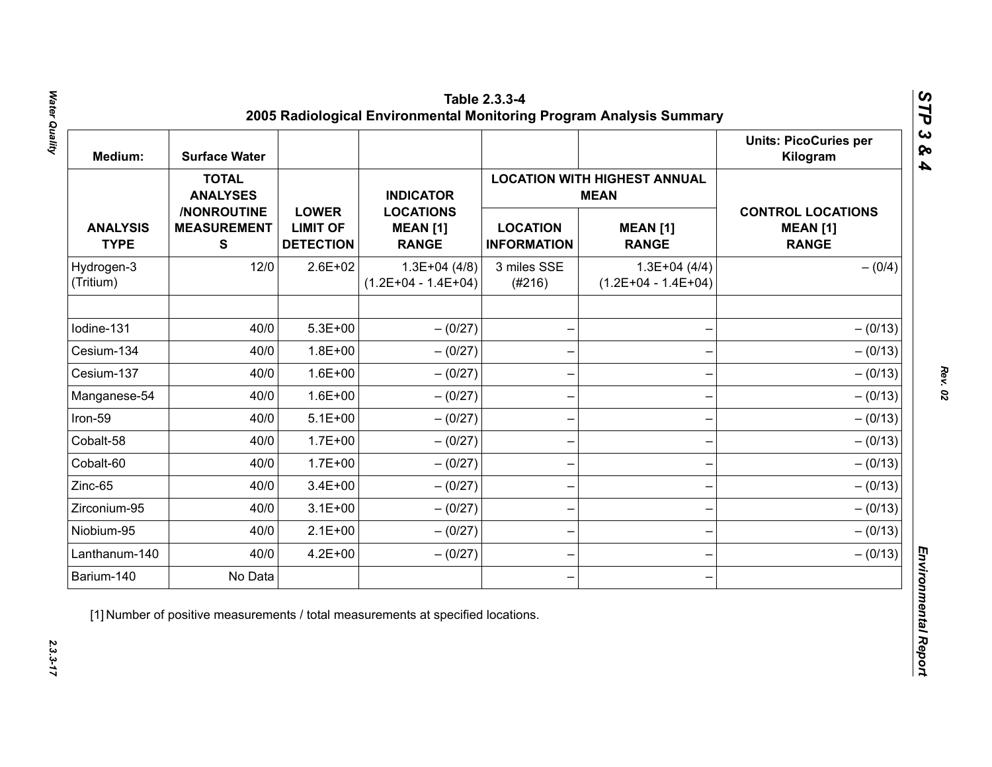| Medium:                        | <b>Surface Water</b>                           |                                                     |                                                     |                                       |                                                    | <b>Units: PicoCuries per</b><br>Kilogram                    |  |  |
|--------------------------------|------------------------------------------------|-----------------------------------------------------|-----------------------------------------------------|---------------------------------------|----------------------------------------------------|-------------------------------------------------------------|--|--|
|                                | <b>TOTAL</b><br><b>ANALYSES</b>                |                                                     | <b>INDICATOR</b>                                    |                                       | <b>LOCATION WITH HIGHEST ANNUAL</b><br><b>MEAN</b> |                                                             |  |  |
| <b>ANALYSIS</b><br><b>TYPE</b> | /NONROUTINE<br><b>MEASUREMENT</b><br>${\bf S}$ | <b>LOWER</b><br><b>LIMIT OF</b><br><b>DETECTION</b> | <b>LOCATIONS</b><br><b>MEAN [1]</b><br><b>RANGE</b> | <b>LOCATION</b><br><b>INFORMATION</b> | <b>MEAN [1]</b><br><b>RANGE</b>                    | <b>CONTROL LOCATIONS</b><br><b>MEAN [1]</b><br><b>RANGE</b> |  |  |
| Hydrogen-3<br>(Tritium)        | 12/0                                           | $2.6E + 02$                                         | $1.3E+04(4/8)$<br>$(1.2E+04 - 1.4E+04)$             | 3 miles SSE<br>(#216)                 | $1.3E+04(4/4)$<br>$(1.2E+04 - 1.4E+04)$            | $- (0/4)$                                                   |  |  |
| Iodine-131                     | 40/0                                           | $5.3E + 00$                                         | $- (0/27)$                                          |                                       |                                                    | $- (0/13)$                                                  |  |  |
| Cesium-134                     | 40/0                                           | $1.8E + 00$                                         | $- (0/27)$                                          |                                       |                                                    | $- (0/13)$                                                  |  |  |
| Cesium-137                     | 40/0                                           | $1.6E + 00$                                         | $-(0/27)$                                           |                                       |                                                    | $- (0/13)$                                                  |  |  |
| Manganese-54                   | 40/0                                           | $1.6E + 00$                                         | $- (0/27)$                                          |                                       |                                                    | $- (0/13)$                                                  |  |  |
| Iron-59                        | 40/0                                           | $5.1E+00$                                           | $- (0/27)$                                          |                                       |                                                    | $- (0/13)$                                                  |  |  |
| Cobalt-58                      | 40/0                                           | $1.7E + 00$                                         | $-(0/27)$                                           |                                       |                                                    | $- (0/13)$                                                  |  |  |
| Cobalt-60                      | 40/0                                           | $1.7E + 00$                                         | $-(0/27)$                                           |                                       |                                                    | $- (0/13)$                                                  |  |  |
| Zinc-65                        | 40/0                                           | $3.4E + 00$                                         | $- (0/27)$                                          |                                       |                                                    | $- (0/13)$                                                  |  |  |
| Zirconium-95                   | 40/0                                           | $3.1E + 00$                                         | $-(0/27)$                                           |                                       |                                                    | $- (0/13)$                                                  |  |  |
| Niobium-95                     | 40/0                                           | $2.1E+00$                                           | $-(0/27)$                                           |                                       |                                                    | $- (0/13)$                                                  |  |  |
| Lanthanum-140                  | 40/0                                           | $4.2E + 00$                                         | $- (0/27)$                                          |                                       |                                                    | $- (0/13)$                                                  |  |  |
| Barium-140                     | No Data                                        |                                                     |                                                     |                                       |                                                    |                                                             |  |  |

Water Quality *Water Quality 2.3.3-17*

*Rev. 02*

 $2.3.3 - 17$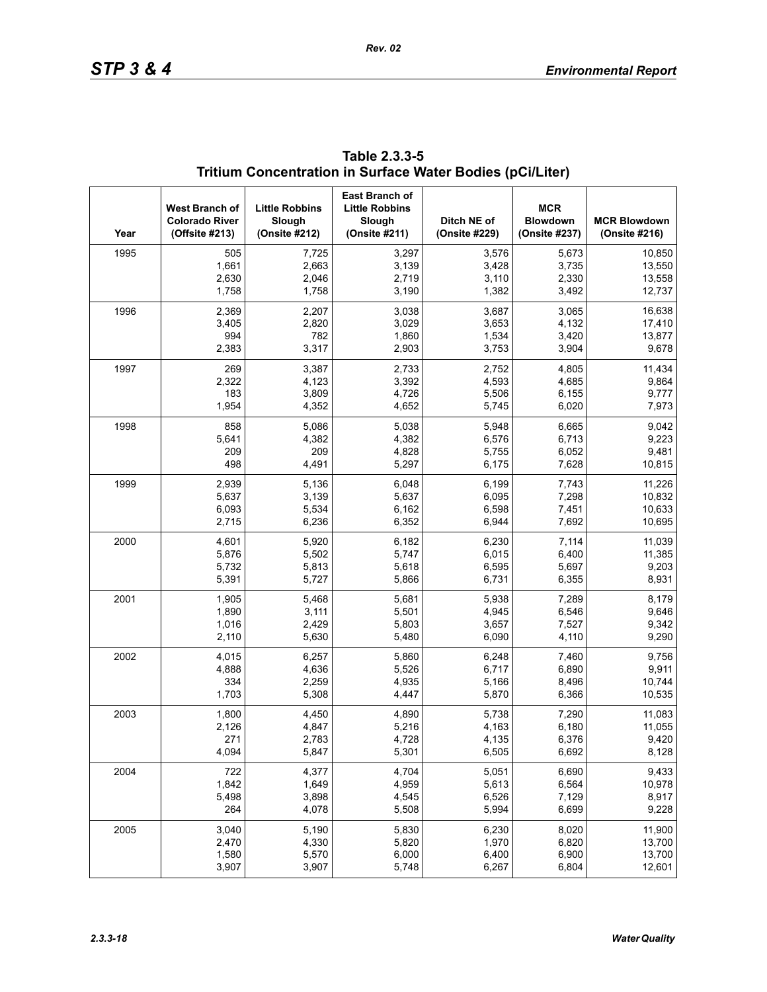| Year | West Branch of<br><b>Colorado River</b><br>(Offsite #213) | <b>Little Robbins</b><br>Slough<br>(Onsite #212) | East Branch of<br><b>Little Robbins</b><br>Slough<br>(Onsite #211) | Ditch NE of<br>(Onsite #229) | <b>MCR</b><br><b>Blowdown</b><br>(Onsite #237) | <b>MCR Blowdown</b><br>(Onsite #216) |
|------|-----------------------------------------------------------|--------------------------------------------------|--------------------------------------------------------------------|------------------------------|------------------------------------------------|--------------------------------------|
| 1995 | 505                                                       | 7,725                                            | 3,297                                                              | 3,576                        | 5,673                                          | 10,850                               |
|      | 1,661                                                     | 2,663                                            | 3,139                                                              | 3,428                        | 3,735                                          | 13,550                               |
|      | 2,630                                                     | 2,046                                            | 2,719                                                              | 3,110                        | 2,330                                          | 13,558                               |
|      | 1,758                                                     | 1,758                                            | 3,190                                                              | 1,382                        | 3,492                                          | 12,737                               |
| 1996 | 2,369                                                     | 2,207                                            | 3,038                                                              | 3,687                        | 3,065                                          | 16,638                               |
|      | 3,405                                                     | 2,820                                            | 3,029                                                              | 3,653                        | 4,132                                          | 17,410                               |
|      | 994                                                       | 782                                              | 1,860                                                              | 1,534                        | 3,420                                          | 13,877                               |
|      | 2,383                                                     | 3,317                                            | 2,903                                                              | 3,753                        | 3,904                                          | 9,678                                |
| 1997 | 269                                                       | 3,387                                            | 2,733                                                              | 2,752                        | 4,805                                          | 11,434                               |
|      | 2,322                                                     | 4,123                                            | 3,392                                                              | 4,593                        | 4,685                                          | 9,864                                |
|      | 183                                                       | 3,809                                            | 4,726                                                              | 5,506                        | 6,155                                          | 9,777                                |
|      | 1,954                                                     | 4,352                                            | 4,652                                                              | 5,745                        | 6,020                                          | 7,973                                |
| 1998 | 858                                                       | 5,086                                            | 5,038                                                              | 5,948                        | 6,665                                          | 9,042                                |
|      | 5,641                                                     | 4,382                                            | 4,382                                                              | 6,576                        | 6,713                                          | 9,223                                |
|      | 209                                                       | 209                                              | 4,828                                                              | 5,755                        | 6,052                                          | 9,481                                |
|      | 498                                                       | 4,491                                            | 5,297                                                              | 6,175                        | 7,628                                          | 10,815                               |
| 1999 | 2,939                                                     | 5,136                                            | 6,048                                                              | 6,199                        | 7,743                                          | 11,226                               |
|      | 5,637                                                     | 3,139                                            | 5,637                                                              | 6,095                        | 7,298                                          | 10,832                               |
|      | 6,093                                                     | 5,534                                            | 6,162                                                              | 6,598                        | 7,451                                          | 10,633                               |
|      | 2,715                                                     | 6,236                                            | 6,352                                                              | 6,944                        | 7,692                                          | 10,695                               |
| 2000 | 4,601                                                     | 5,920                                            | 6,182                                                              | 6,230                        | 7,114                                          | 11,039                               |
|      | 5,876                                                     | 5,502                                            | 5,747                                                              | 6,015                        | 6,400                                          | 11,385                               |
|      | 5,732                                                     | 5,813                                            | 5,618                                                              | 6,595                        | 5,697                                          | 9,203                                |
|      | 5,391                                                     | 5,727                                            | 5,866                                                              | 6,731                        | 6,355                                          | 8,931                                |
| 2001 | 1,905                                                     | 5,468                                            | 5,681                                                              | 5,938                        | 7,289                                          | 8,179                                |
|      | 1,890                                                     | 3,111                                            | 5,501                                                              | 4,945                        | 6,546                                          | 9,646                                |
|      | 1,016                                                     | 2,429                                            | 5,803                                                              | 3,657                        | 7,527                                          | 9,342                                |
|      | 2,110                                                     | 5,630                                            | 5,480                                                              | 6,090                        | 4,110                                          | 9,290                                |
| 2002 | 4,015                                                     | 6,257                                            | 5,860                                                              | 6,248                        | 7,460                                          | 9,756                                |
|      | 4,888                                                     | 4,636                                            | 5,526                                                              | 6,717                        | 6,890                                          | 9,911                                |
|      | 334                                                       | 2,259                                            | 4,935                                                              | 5,166                        | 8,496                                          | 10,744                               |
|      | 1,703                                                     | 5,308                                            | 4,447                                                              | 5,870                        | 6,366                                          | 10,535                               |
| 2003 | 1,800                                                     | 4,450                                            | 4,890                                                              | 5,738                        | 7,290                                          | 11,083                               |
|      | 2,126                                                     | 4,847                                            | 5,216                                                              | 4,163                        | 6,180                                          | 11,055                               |
|      | 271                                                       | 2,783                                            | 4,728                                                              | 4,135                        | 6,376                                          | 9,420                                |
|      | 4,094                                                     | 5,847                                            | 5,301                                                              | 6,505                        | 6,692                                          | 8,128                                |
| 2004 | 722                                                       | 4,377                                            | 4,704                                                              | 5,051                        | 6,690                                          | 9,433                                |
|      | 1,842                                                     | 1,649                                            | 4,959                                                              | 5,613                        | 6,564                                          | 10,978                               |
|      | 5,498                                                     | 3,898                                            | 4,545                                                              | 6,526                        | 7,129                                          | 8,917                                |
|      | 264                                                       | 4,078                                            | 5,508                                                              | 5,994                        | 6,699                                          | 9,228                                |
| 2005 | 3,040                                                     | 5,190                                            | 5,830                                                              | 6,230                        | 8,020                                          | 11,900                               |
|      | 2,470                                                     | 4,330                                            | 5,820                                                              | 1,970                        | 6,820                                          | 13,700                               |
|      | 1,580                                                     | 5,570                                            | 6,000                                                              | 6,400                        | 6,900                                          | 13,700                               |
|      | 3,907                                                     | 3,907                                            | 5,748                                                              | 6,267                        | 6,804                                          | 12,601                               |

| Table 2.3.3-5                                             |  |
|-----------------------------------------------------------|--|
| Tritium Concentration in Surface Water Bodies (pCi/Liter) |  |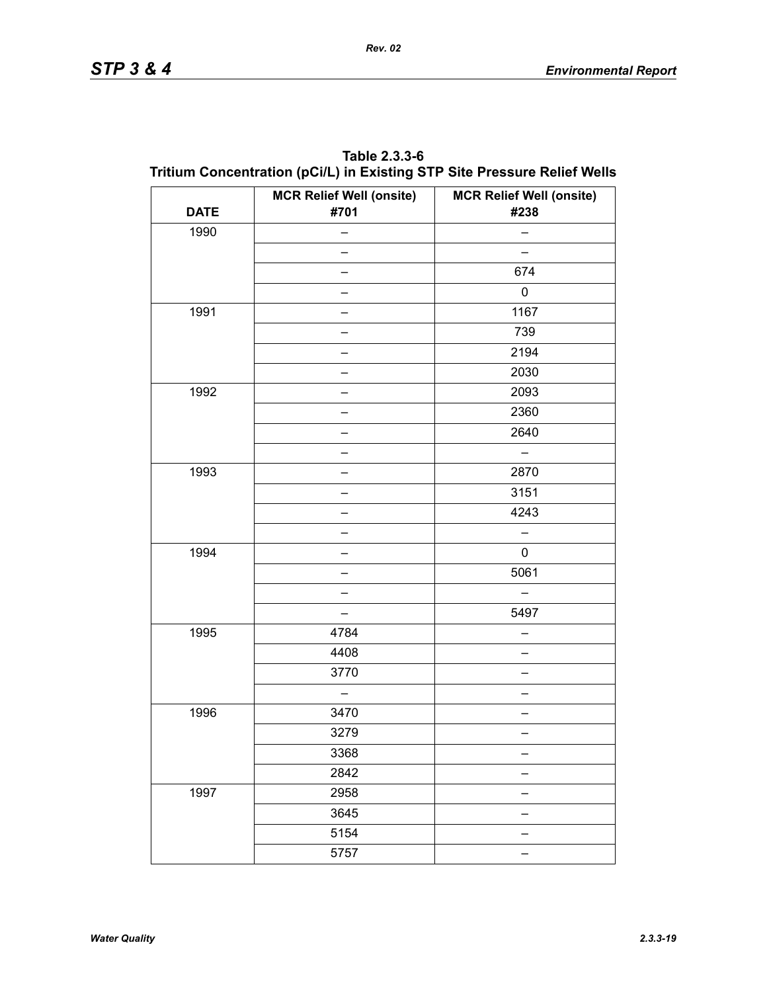| <b>DATE</b> | <b>MCR Relief Well (onsite)</b><br>#701 | <b>MCR Relief Well (onsite)</b><br>#238 |
|-------------|-----------------------------------------|-----------------------------------------|
| 1990        |                                         |                                         |
|             |                                         |                                         |
|             | -                                       | 674                                     |
|             | $\overline{\phantom{0}}$                | $\pmb{0}$                               |
| 1991        |                                         | 1167                                    |
|             | -                                       | 739                                     |
|             | $\overline{\phantom{0}}$                | 2194                                    |
|             |                                         | 2030                                    |
| 1992        | -                                       | 2093                                    |
|             | $\overline{\phantom{0}}$                | 2360                                    |
|             |                                         | 2640                                    |
|             |                                         | -                                       |
| 1993        | $\overline{\phantom{0}}$                | 2870                                    |
|             |                                         | 3151                                    |
|             |                                         | 4243                                    |
|             | -                                       |                                         |
| 1994        |                                         | 0                                       |
|             | -                                       | 5061                                    |
|             | $\overline{\phantom{0}}$                |                                         |
|             |                                         | 5497                                    |
| 1995        | 4784                                    | —                                       |
|             | 4408                                    |                                         |
|             | 3770                                    |                                         |
|             | —                                       |                                         |
| 1996        | 3470                                    |                                         |
|             | 3279                                    |                                         |
|             | 3368                                    |                                         |
|             | 2842                                    |                                         |
| 1997        | 2958                                    |                                         |
|             | 3645                                    |                                         |
|             | 5154                                    |                                         |
|             | 5757                                    |                                         |

| Table 2.3.3-6                                                            |  |
|--------------------------------------------------------------------------|--|
| Tritium Concentration (pCi/L) in Existing STP Site Pressure Relief Wells |  |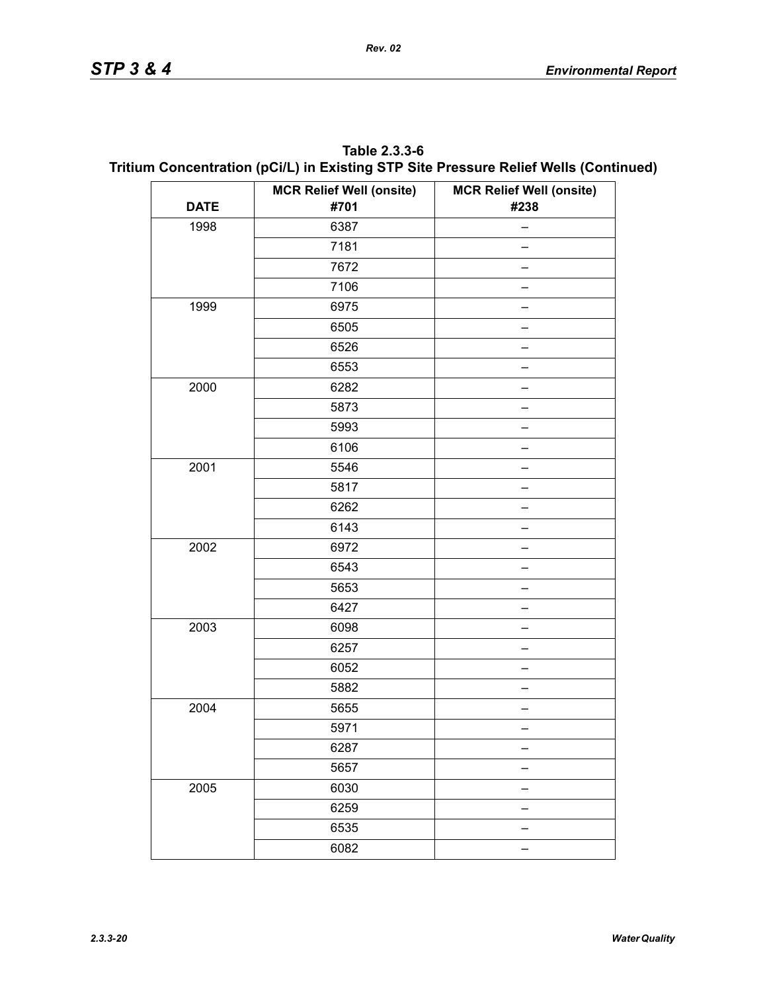| Table 2.3.3-6                                                                        |
|--------------------------------------------------------------------------------------|
| Tritium Concentration (pCi/L) in Existing STP Site Pressure Relief Wells (Continued) |

|             | <b>MCR Relief Well (onsite)</b> | <b>MCR Relief Well (onsite)</b> |
|-------------|---------------------------------|---------------------------------|
| <b>DATE</b> | #701                            | #238                            |
| 1998        | 6387                            | -                               |
|             | 7181                            |                                 |
|             | 7672                            |                                 |
|             | 7106                            |                                 |
| 1999        | 6975                            |                                 |
|             | 6505                            |                                 |
|             | 6526                            |                                 |
|             | 6553                            |                                 |
| 2000        | 6282                            |                                 |
|             | 5873                            |                                 |
|             | 5993                            |                                 |
|             | 6106                            |                                 |
| 2001        | 5546                            |                                 |
|             | 5817                            |                                 |
|             | 6262                            |                                 |
|             | 6143                            |                                 |
| 2002        | 6972                            |                                 |
|             | 6543                            |                                 |
|             | 5653                            |                                 |
|             | 6427                            |                                 |
| 2003        | 6098                            |                                 |
|             | 6257                            |                                 |
|             | 6052                            |                                 |
|             | 5882                            |                                 |
| 2004        | 5655                            |                                 |
|             | 5971                            |                                 |
|             | 6287                            |                                 |
|             | 5657                            |                                 |
| 2005        | 6030                            |                                 |
|             | 6259                            |                                 |
|             | 6535                            |                                 |
|             | 6082                            |                                 |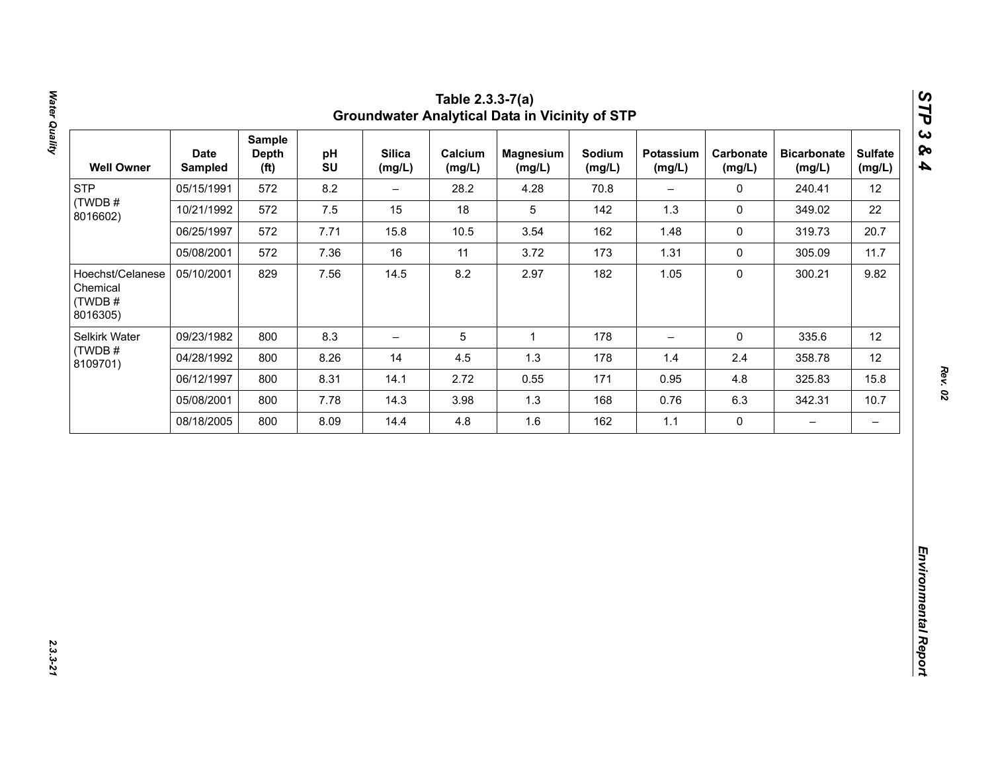| 12<br>22<br>20.7<br>11.7<br>9.82 |
|----------------------------------|
|                                  |
|                                  |
|                                  |
|                                  |
|                                  |
| 12                               |
| 12                               |
| 15.8                             |
| 10.7                             |
| $\qquad \qquad -$                |
|                                  |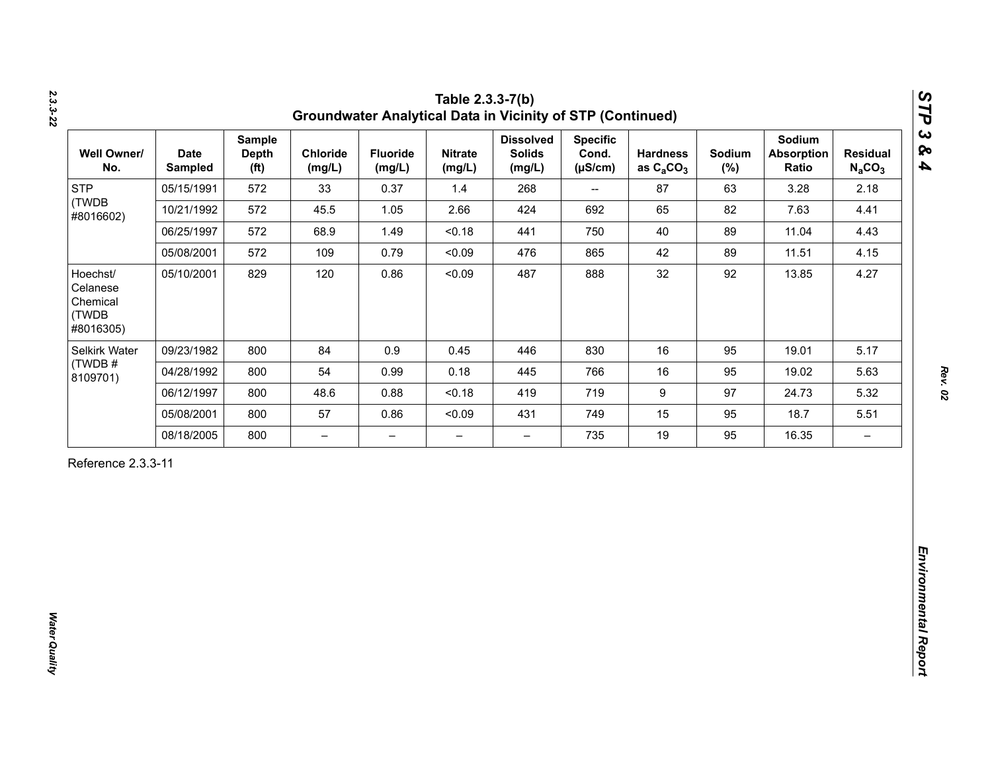| <b>STP</b><br>(TWDB                                    |            | <b>Depth</b><br>(f <sup>t</sup> ) | Chloride<br>(mg/L)       | <b>Fluoride</b><br>(mg/L) | <b>Nitrate</b><br>(mg/L) | <b>Dissolved</b><br><b>Solids</b><br>(mg/L) | <b>Specific</b><br>Cond.<br>$(\mu S/cm)$ | <b>Hardness</b><br>as $C_2CO_3$ | Sodium<br>$(\%)$ | Sodium<br><b>Absorption</b><br>Ratio | <b>Residual</b><br>$N_aCO_3$ |
|--------------------------------------------------------|------------|-----------------------------------|--------------------------|---------------------------|--------------------------|---------------------------------------------|------------------------------------------|---------------------------------|------------------|--------------------------------------|------------------------------|
| #8016602)                                              | 05/15/1991 | 572                               | 33                       | 0.37                      | 1.4                      | 268                                         | $\overline{\phantom{a}}$                 | 87                              | 63               | 3.28                                 | 2.18                         |
|                                                        | 10/21/1992 | 572                               | 45.5                     | 1.05                      | 2.66                     | 424                                         | 692                                      | 65                              | 82               | 7.63                                 | 4.41                         |
|                                                        | 06/25/1997 | 572                               | 68.9                     | 1.49                      | < 0.18                   | 441                                         | 750                                      | 40                              | 89               | 11.04                                | 4.43                         |
|                                                        | 05/08/2001 | 572                               | 109                      | 0.79                      | < 0.09                   | 476                                         | 865                                      | 42                              | 89               | 11.51                                | 4.15                         |
| Hoechst/<br>Celanese<br>Chemical<br>(TWDB<br>#8016305) | 05/10/2001 | 829                               | 120                      | 0.86                      | < 0.09                   | 487                                         | 888                                      | 32                              | 92               | 13.85                                | 4.27                         |
| Selkirk Water                                          | 09/23/1982 | 800                               | 84                       | 0.9                       | 0.45                     | 446                                         | 830                                      | 16                              | 95               | 19.01                                | 5.17                         |
| (TWDB#<br>8109701)                                     | 04/28/1992 | 800                               | 54                       | 0.99                      | 0.18                     | 445                                         | 766                                      | 16                              | 95               | 19.02                                | 5.63                         |
|                                                        | 06/12/1997 | 800                               | 48.6                     | 0.88                      | < 0.18                   | 419                                         | 719                                      | $\boldsymbol{9}$                | 97               | 24.73                                | 5.32                         |
|                                                        | 05/08/2001 | 800                               | 57                       | 0.86                      | < 0.09                   | 431                                         | 749                                      | 15                              | 95               | 18.7                                 | 5.51                         |
|                                                        | 08/18/2005 | 800                               | $\overline{\phantom{0}}$ | $\overline{\phantom{m}}$  | $\overline{\phantom{0}}$ | $\overline{\phantom{0}}$                    | 735                                      | 19                              | 95               | 16.35                                | $\overline{\phantom{m}}$     |

*2.3.3-22*

*Rev. 02*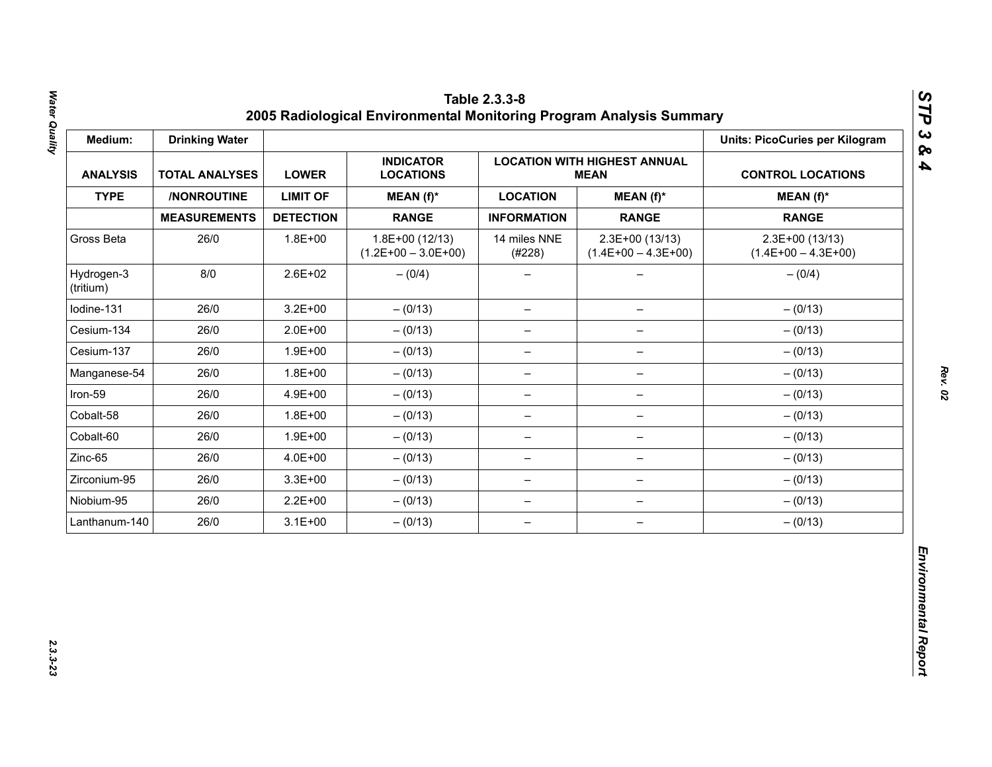| Medium:                 | <b>Drinking Water</b> |                  |                                           |                          |                                                    | <b>Units: PicoCuries per Kilogram</b>     |
|-------------------------|-----------------------|------------------|-------------------------------------------|--------------------------|----------------------------------------------------|-------------------------------------------|
| <b>ANALYSIS</b>         | <b>TOTAL ANALYSES</b> |                  | <b>INDICATOR</b><br><b>LOCATIONS</b>      |                          | <b>LOCATION WITH HIGHEST ANNUAL</b><br><b>MEAN</b> | <b>CONTROL LOCATIONS</b>                  |
| <b>TYPE</b>             | /NONROUTINE           | <b>LIMIT OF</b>  | MEAN (f)*                                 | <b>LOCATION</b>          | $MEAN(f)^*$                                        | $MEAN(f)^*$                               |
|                         | <b>MEASUREMENTS</b>   | <b>DETECTION</b> | <b>RANGE</b>                              | <b>INFORMATION</b>       | <b>RANGE</b>                                       | <b>RANGE</b>                              |
| Gross Beta              | 26/0                  | $1.8E + 00$      | $1.8E+00(12/13)$<br>$(1.2E+00 - 3.0E+00)$ | 14 miles NNE<br>(#228)   | 2.3E+00 (13/13)<br>$(1.4E+00 - 4.3E+00)$           | $2.3E+00(13/13)$<br>$(1.4E+00 - 4.3E+00)$ |
| Hydrogen-3<br>(tritium) | 8/0                   | $2.6E + 02$      | $- (0/4)$                                 |                          |                                                    | $- (0/4)$                                 |
| Iodine-131              | 26/0                  | $3.2E + 00$      | $- (0/13)$                                | $\overline{\phantom{m}}$ | $\qquad \qquad -$                                  | $- (0/13)$                                |
| Cesium-134              | 26/0                  | $2.0E + 00$      | $- (0/13)$                                | $\overline{\phantom{m}}$ | $\overline{\phantom{m}}$                           | $- (0/13)$                                |
| Cesium-137              | 26/0                  | $1.9E + 00$      | $- (0/13)$                                | -                        |                                                    | $- (0/13)$                                |
| Manganese-54            | 26/0                  | $1.8E + 00$      | $- (0/13)$                                | $\qquad \qquad -$        | $\qquad \qquad -$                                  | $- (0/13)$                                |
| Iron-59                 | 26/0                  | 4.9E+00          | $- (0/13)$                                | $\overline{\phantom{0}}$ | $\qquad \qquad -$                                  | $- (0/13)$                                |
| Cobalt-58               | 26/0                  | $1.8E + 00$      | $- (0/13)$                                | $\overline{\phantom{m}}$ | $\overline{\phantom{0}}$                           | $- (0/13)$                                |
| Cobalt-60               | 26/0                  | $1.9E + 00$      | $- (0/13)$                                | $\overline{\phantom{m}}$ | $\qquad \qquad -$                                  | $- (0/13)$                                |
| Zinc-65                 | 26/0                  | 4.0E+00          | $- (0/13)$                                | $\overline{\phantom{0}}$ | $\qquad \qquad -$                                  | $- (0/13)$                                |
| Zirconium-95            | 26/0                  | $3.3E + 00$      | $- (0/13)$                                | $\overline{\phantom{m}}$ | $\qquad \qquad -$                                  | $- (0/13)$                                |
| Niobium-95              | 26/0                  | $2.2E + 00$      | $- (0/13)$                                | $\overline{\phantom{m}}$ | $\qquad \qquad -$                                  | $- (0/13)$                                |
| Lanthanum-140           | 26/0                  | $3.1E + 00$      | $- (0/13)$                                | $\overline{\phantom{m}}$ | $\overline{\phantom{m}}$                           | $- (0/13)$                                |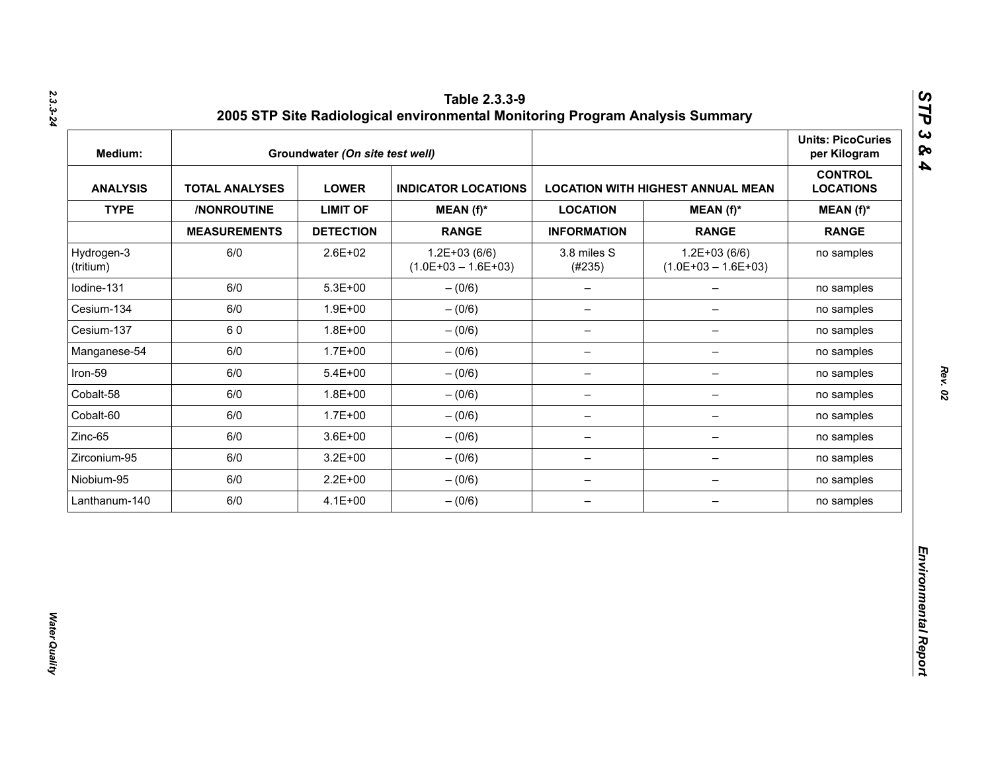| Medium:                 |                       | Groundwater (On site test well) |                                           |                          |                                          | <b>Units: PicoCuries</b><br>per Kilogram |
|-------------------------|-----------------------|---------------------------------|-------------------------------------------|--------------------------|------------------------------------------|------------------------------------------|
| <b>ANALYSIS</b>         | <b>TOTAL ANALYSES</b> | <b>LOWER</b>                    | <b>INDICATOR LOCATIONS</b>                |                          | <b>LOCATION WITH HIGHEST ANNUAL MEAN</b> | <b>CONTROL</b><br><b>LOCATIONS</b>       |
| <b>TYPE</b>             | /NONROUTINE           | <b>LIMIT OF</b>                 | $MEAN(f)^*$                               | <b>LOCATION</b>          | $MEAN(f)^*$                              | $MEAN(f)^*$                              |
|                         | <b>MEASUREMENTS</b>   | <b>DETECTION</b>                | <b>RANGE</b>                              | <b>INFORMATION</b>       | <b>RANGE</b>                             | <b>RANGE</b>                             |
| Hydrogen-3<br>(tritium) | 6/0                   | 2.6E+02                         | $1.2E + 03(6/6)$<br>$(1.0E+03 - 1.6E+03)$ | 3.8 miles S<br>(#235)    | $1.2E+03(6/6)$<br>$(1.0E+03 - 1.6E+03)$  | no samples                               |
| lodine-131              | 6/0                   | $5.3E + 00$                     | $- (0/6)$                                 | $\qquad \qquad -$        | $\overline{\phantom{0}}$                 | no samples                               |
| Cesium-134              | 6/0                   | $1.9E + 00$                     | $- (0/6)$                                 | $\qquad \qquad -$        | $\overline{\phantom{0}}$                 | no samples                               |
| Cesium-137              | 60                    | $1.8E + 00$                     | $-(0/6)$                                  | $\overline{\phantom{a}}$ | $\qquad \qquad -$                        | no samples                               |
| Manganese-54            | 6/0                   | $1.7E + 00$                     | $- (0/6)$                                 | $\overline{\phantom{m}}$ | -                                        | no samples                               |
| Iron-59                 | 6/0                   | $5.4E + 00$                     | $- (0/6)$                                 | $\qquad \qquad -$        | -                                        | no samples                               |
| Cobalt-58               | 6/0                   | $1.8E + 00$                     | $- (0/6)$                                 | $\overline{\phantom{m}}$ | $\qquad \qquad -$                        | no samples                               |
| Cobalt-60               | 6/0                   | $1.7E + 00$                     | $- (0/6)$                                 | $\overline{\phantom{m}}$ | $\qquad \qquad -$                        | no samples                               |
| Zinc-65                 | 6/0                   | $3.6E + 00$                     | $-(0/6)$                                  | $\overline{\phantom{m}}$ | $\qquad \qquad -$                        | no samples                               |
| Zirconium-95            | 6/0                   | $3.2E + 00$                     | $-(0/6)$                                  | $\qquad \qquad -$        | -                                        | no samples                               |
| Niobium-95              | 6/0                   | $2.2E + 00$                     | $-(0/6)$                                  | $\qquad \qquad -$        | $\overline{\phantom{a}}$                 | no samples                               |
| Lanthanum-140           | 6/0                   | $4.1E + 00$                     | $-(0/6)$                                  | $\qquad \qquad -$        | $\qquad \qquad -$                        | no samples                               |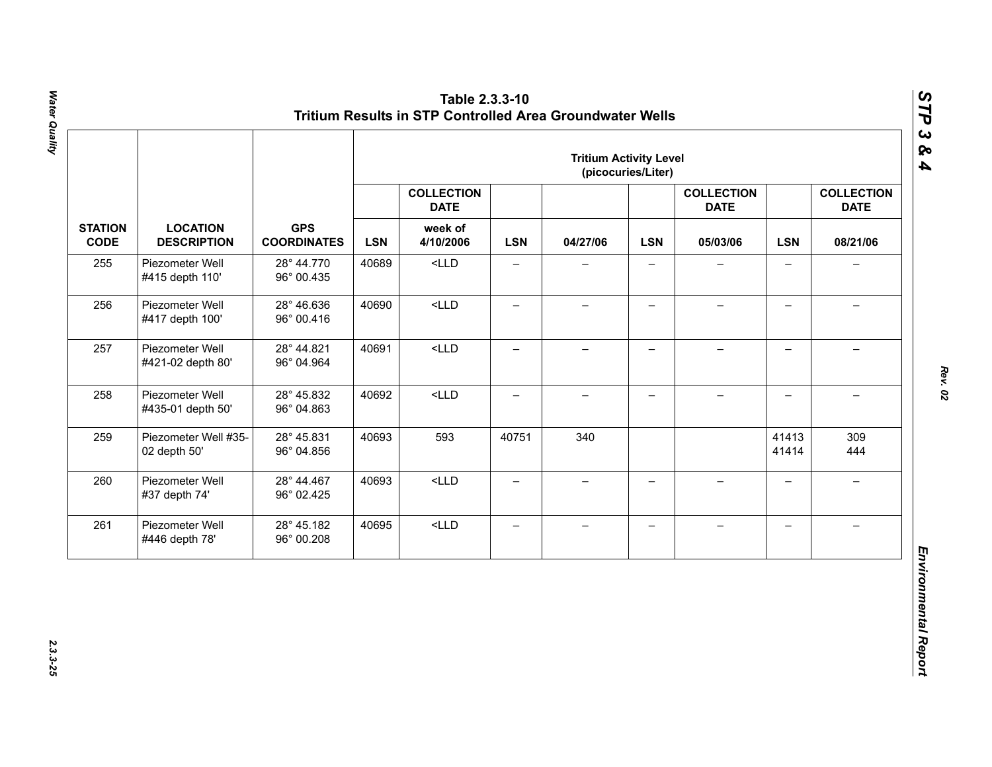|                               |                                       |                          | <b>Tritium Activity Level</b><br>(picocuries/Liter) |         |                          |                                  |                          |                          |                          |                                  |          |                                  |
|-------------------------------|---------------------------------------|--------------------------|-----------------------------------------------------|---------|--------------------------|----------------------------------|--------------------------|--------------------------|--------------------------|----------------------------------|----------|----------------------------------|
|                               |                                       |                          | <b>GPS</b><br><b>COORDINATES</b>                    |         |                          | <b>COLLECTION</b><br><b>DATE</b> |                          |                          |                          | <b>COLLECTION</b><br><b>DATE</b> |          | <b>COLLECTION</b><br><b>DATE</b> |
| <b>STATION</b><br><b>CODE</b> | <b>LOCATION</b><br><b>DESCRIPTION</b> |                          |                                                     |         |                          | <b>LSN</b>                       | week of<br>4/10/2006     | <b>LSN</b>               | 04/27/06                 | <b>LSN</b>                       | 05/03/06 | <b>LSN</b>                       |
| 255                           | Piezometer Well<br>#415 depth 110'    | 28° 44.770<br>96° 00.435 | 40689                                               | $<$ LLD | $\overline{\phantom{0}}$ |                                  |                          |                          | $\overline{\phantom{0}}$ |                                  |          |                                  |
| 256                           | Piezometer Well<br>#417 depth 100'    | 28° 46.636<br>96° 00.416 | 40690                                               | $<$ LLD | $\qquad \qquad -$        | $\overline{\phantom{0}}$         | $\qquad \qquad -$        |                          | $\overline{\phantom{0}}$ |                                  |          |                                  |
| 257                           | Piezometer Well<br>#421-02 depth 80'  | 28° 44.821<br>96° 04.964 | 40691                                               | $<$ LLD | $\overline{\phantom{0}}$ | $\qquad \qquad -$                | $\overline{\phantom{0}}$ | $\overline{\phantom{0}}$ | $\overline{\phantom{0}}$ | $\equiv$                         |          |                                  |
| 258                           | Piezometer Well<br>#435-01 depth 50'  | 28° 45.832<br>96° 04.863 | 40692                                               | $<$ LLD | $\overline{\phantom{0}}$ | $\overline{\phantom{0}}$         | $\overline{\phantom{0}}$ | $\!-$                    | $\overline{\phantom{0}}$ | $\overline{\phantom{m}}$         |          |                                  |
| 259                           | Piezometer Well #35-<br>02 depth 50'  | 28° 45.831<br>96° 04.856 | 40693                                               | 593     | 40751                    | 340                              |                          |                          | 41413<br>41414           | 309<br>444                       |          |                                  |
| 260                           | Piezometer Well<br>#37 depth 74'      | 28° 44.467<br>96° 02.425 | 40693                                               | $<$ LLD | $\overline{\phantom{0}}$ | $\qquad \qquad -$                | $\overline{\phantom{0}}$ | $\equiv$                 | $\overline{\phantom{0}}$ | $\rightarrow$                    |          |                                  |
| 261                           | Piezometer Well<br>#446 depth 78'     | 28° 45.182<br>96° 00.208 | 40695                                               | $<$ LLD | $\qquad \qquad -$        | $\qquad \qquad -$                | $\overline{\phantom{m}}$ | $\qquad \qquad -$        | $\overline{\phantom{0}}$ | $\overline{\phantom{0}}$         |          |                                  |

Water Quality *Water Quality 2.3.3-25*

*Rev. 02*

*STP 3 & 4*

2.3.3-25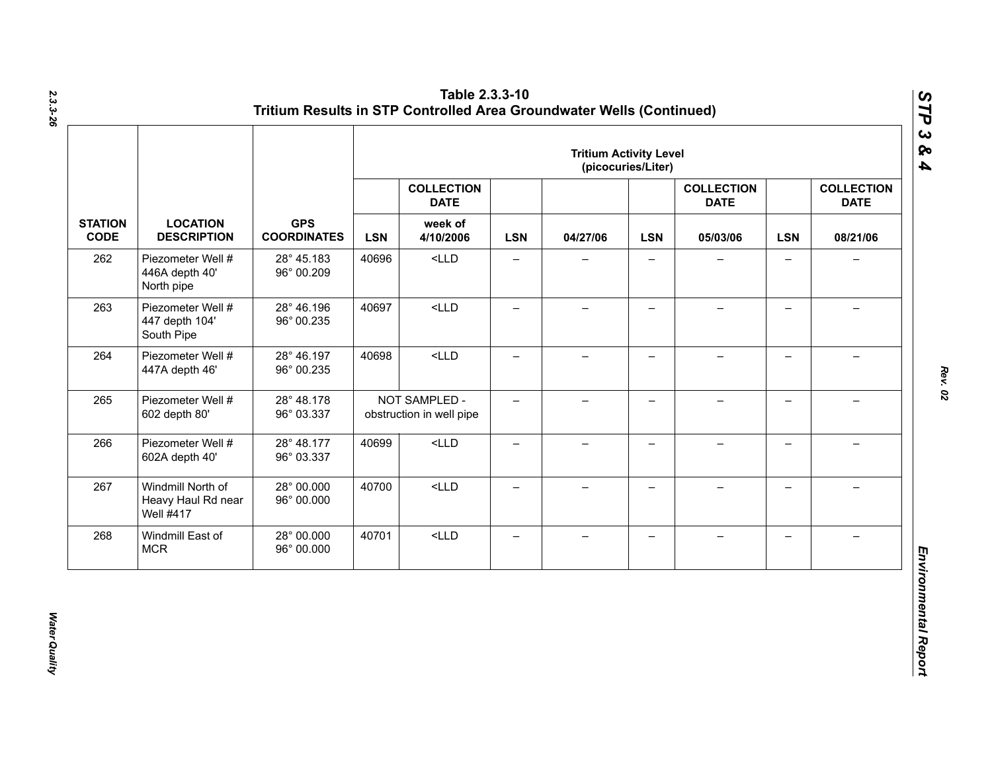|                               | <b>LOCATION</b><br><b>DESCRIPTION</b>                       | <b>GPS</b><br><b>COORDINATES</b> | <b>Tritium Activity Level</b><br>(picocuries/Liter) |                                                          |                          |                          |                          |                                              |                          |                                              |  |
|-------------------------------|-------------------------------------------------------------|----------------------------------|-----------------------------------------------------|----------------------------------------------------------|--------------------------|--------------------------|--------------------------|----------------------------------------------|--------------------------|----------------------------------------------|--|
|                               |                                                             |                                  | <b>LSN</b>                                          | <b>COLLECTION</b><br><b>DATE</b><br>week of<br>4/10/2006 | <b>LSN</b>               | 04/27/06                 | <b>LSN</b>               | <b>COLLECTION</b><br><b>DATE</b><br>05/03/06 | <b>LSN</b>               | <b>COLLECTION</b><br><b>DATE</b><br>08/21/06 |  |
| <b>STATION</b><br><b>CODE</b> |                                                             |                                  |                                                     |                                                          |                          |                          |                          |                                              |                          |                                              |  |
| 262                           | Piezometer Well #<br>446A depth 40'<br>North pipe           | 28° 45.183<br>96° 00.209         | 40696                                               | $<$ LLD                                                  | $\qquad \qquad -$        | $\qquad \qquad -$        | $\overline{\phantom{0}}$ |                                              | $\qquad \qquad -$        | $\overline{\phantom{0}}$                     |  |
| 263                           | Piezometer Well #<br>447 depth 104'<br>South Pipe           | 28° 46.196<br>96° 00.235         | 40697                                               | $<$ LLD                                                  | $\overline{\phantom{0}}$ | $\overline{\phantom{0}}$ | $\overline{\phantom{0}}$ |                                              | $\qquad \qquad -$        |                                              |  |
| 264                           | Piezometer Well #<br>447A depth 46'                         | 28° 46.197<br>96° 00.235         | 40698                                               | $<$ LLD                                                  | $\overline{\phantom{0}}$ | $\overline{\phantom{0}}$ | $\overline{\phantom{0}}$ |                                              | $\overline{\phantom{0}}$ |                                              |  |
| 265                           | Piezometer Well #<br>602 depth 80'                          | 28° 48.178<br>96° 03.337         |                                                     | NOT SAMPLED -<br>obstruction in well pipe                | $\overline{\phantom{0}}$ | $-$                      | $\overline{\phantom{0}}$ |                                              | $\overline{\phantom{0}}$ |                                              |  |
| 266                           | Piezometer Well #<br>602A depth 40'                         | 28° 48.177<br>96° 03.337         | 40699                                               | $<$ LLD                                                  | $\qquad \qquad -$        | $\overline{\phantom{0}}$ | $\qquad \qquad -$        |                                              | $\overline{\phantom{0}}$ |                                              |  |
| 267                           | Windmill North of<br>Heavy Haul Rd near<br><b>Well #417</b> | 28° 00.000<br>96° 00.000         | 40700                                               | $<$ LLD                                                  | $\equiv$                 | $-$                      | $\overline{\phantom{0}}$ | $\!-$                                        | $\overline{\phantom{0}}$ | $\overline{\phantom{0}}$                     |  |
| 268                           | Windmill East of<br><b>MCR</b>                              | 28° 00.000<br>96° 00.000         | 40701                                               | $<$ LLD                                                  | $\qquad \qquad -$        | $\overline{\phantom{0}}$ | —                        |                                              | $\qquad \qquad -$        |                                              |  |

*Water Quality* 

**Water Quality**